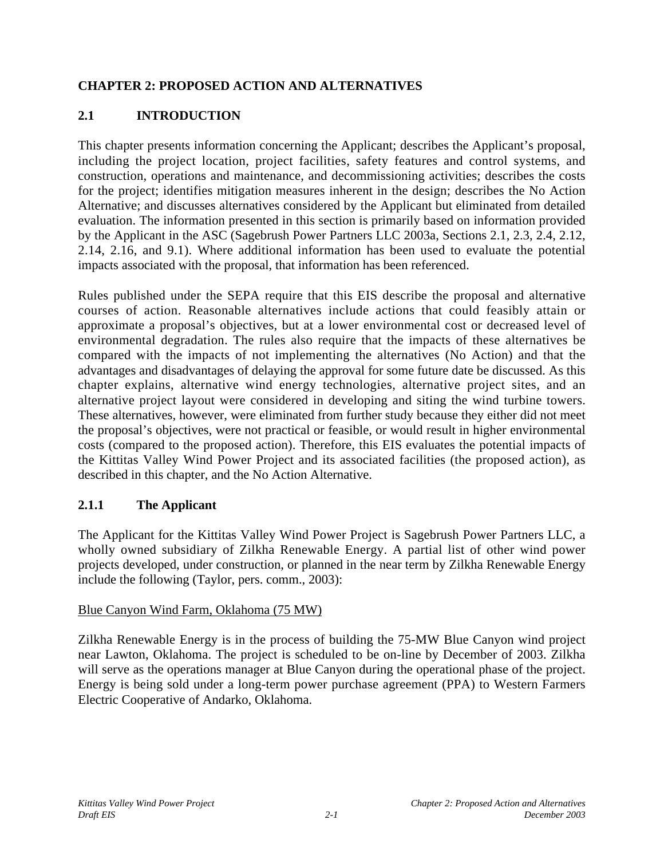# **CHAPTER 2: PROPOSED ACTION AND ALTERNATIVES**

# **2.1 INTRODUCTION**

This chapter presents information concerning the Applicant; describes the Applicant's proposal, including the project location, project facilities, safety features and control systems, and construction, operations and maintenance, and decommissioning activities; describes the costs for the project; identifies mitigation measures inherent in the design; describes the No Action Alternative; and discusses alternatives considered by the Applicant but eliminated from detailed evaluation. The information presented in this section is primarily based on information provided by the Applicant in the ASC (Sagebrush Power Partners LLC 2003a, Sections 2.1, 2.3, 2.4, 2.12, 2.14, 2.16, and 9.1). Where additional information has been used to evaluate the potential impacts associated with the proposal, that information has been referenced.

Rules published under the SEPA require that this EIS describe the proposal and alternative courses of action. Reasonable alternatives include actions that could feasibly attain or approximate a proposal's objectives, but at a lower environmental cost or decreased level of environmental degradation. The rules also require that the impacts of these alternatives be compared with the impacts of not implementing the alternatives (No Action) and that the advantages and disadvantages of delaying the approval for some future date be discussed. As this chapter explains, alternative wind energy technologies, alternative project sites, and an alternative project layout were considered in developing and siting the wind turbine towers. These alternatives, however, were eliminated from further study because they either did not meet the proposal's objectives, were not practical or feasible, or would result in higher environmental costs (compared to the proposed action). Therefore, this EIS evaluates the potential impacts of the Kittitas Valley Wind Power Project and its associated facilities (the proposed action), as described in this chapter, and the No Action Alternative.

## **2.1.1 The Applicant**

The Applicant for the Kittitas Valley Wind Power Project is Sagebrush Power Partners LLC, a wholly owned subsidiary of Zilkha Renewable Energy. A partial list of other wind power projects developed, under construction, or planned in the near term by Zilkha Renewable Energy include the following (Taylor, pers. comm., 2003):

### Blue Canyon Wind Farm, Oklahoma (75 MW)

Zilkha Renewable Energy is in the process of building the 75-MW Blue Canyon wind project near Lawton, Oklahoma. The project is scheduled to be on-line by December of 2003. Zilkha will serve as the operations manager at Blue Canyon during the operational phase of the project. Energy is being sold under a long-term power purchase agreement (PPA) to Western Farmers Electric Cooperative of Andarko, Oklahoma.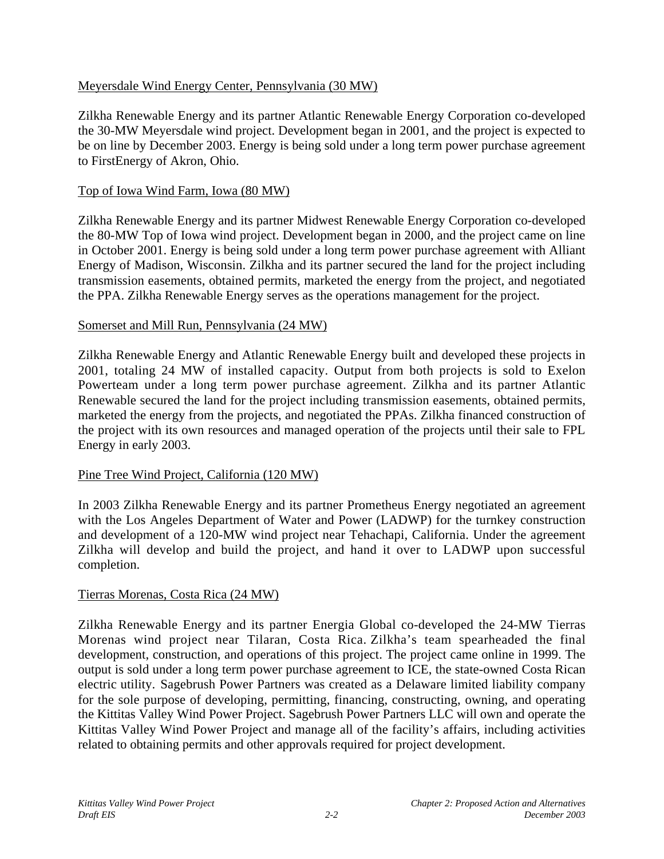#### Meyersdale Wind Energy Center, Pennsylvania (30 MW)

Zilkha Renewable Energy and its partner Atlantic Renewable Energy Corporation co-developed the 30-MW Meyersdale wind project. Development began in 2001, and the project is expected to be on line by December 2003. Energy is being sold under a long term power purchase agreement to FirstEnergy of Akron, Ohio.

#### Top of Iowa Wind Farm, Iowa (80 MW)

Zilkha Renewable Energy and its partner Midwest Renewable Energy Corporation co-developed the 80-MW Top of Iowa wind project. Development began in 2000, and the project came on line in October 2001. Energy is being sold under a long term power purchase agreement with Alliant Energy of Madison, Wisconsin. Zilkha and its partner secured the land for the project including transmission easements, obtained permits, marketed the energy from the project, and negotiated the PPA. Zilkha Renewable Energy serves as the operations management for the project.

#### Somerset and Mill Run, Pennsylvania (24 MW)

Zilkha Renewable Energy and Atlantic Renewable Energy built and developed these projects in 2001, totaling 24 MW of installed capacity. Output from both projects is sold to Exelon Powerteam under a long term power purchase agreement. Zilkha and its partner Atlantic Renewable secured the land for the project including transmission easements, obtained permits, marketed the energy from the projects, and negotiated the PPAs. Zilkha financed construction of the project with its own resources and managed operation of the projects until their sale to FPL Energy in early 2003.

#### Pine Tree Wind Project, California (120 MW)

In 2003 Zilkha Renewable Energy and its partner Prometheus Energy negotiated an agreement with the Los Angeles Department of Water and Power (LADWP) for the turnkey construction and development of a 120-MW wind project near Tehachapi, California. Under the agreement Zilkha will develop and build the project, and hand it over to LADWP upon successful completion.

### Tierras Morenas, Costa Rica (24 MW)

Zilkha Renewable Energy and its partner Energia Global co-developed the 24-MW Tierras Morenas wind project near Tilaran, Costa Rica. Zilkha's team spearheaded the final development, construction, and operations of this project. The project came online in 1999. The output is sold under a long term power purchase agreement to ICE, the state-owned Costa Rican electric utility. Sagebrush Power Partners was created as a Delaware limited liability company for the sole purpose of developing, permitting, financing, constructing, owning, and operating the Kittitas Valley Wind Power Project. Sagebrush Power Partners LLC will own and operate the Kittitas Valley Wind Power Project and manage all of the facility's affairs, including activities related to obtaining permits and other approvals required for project development.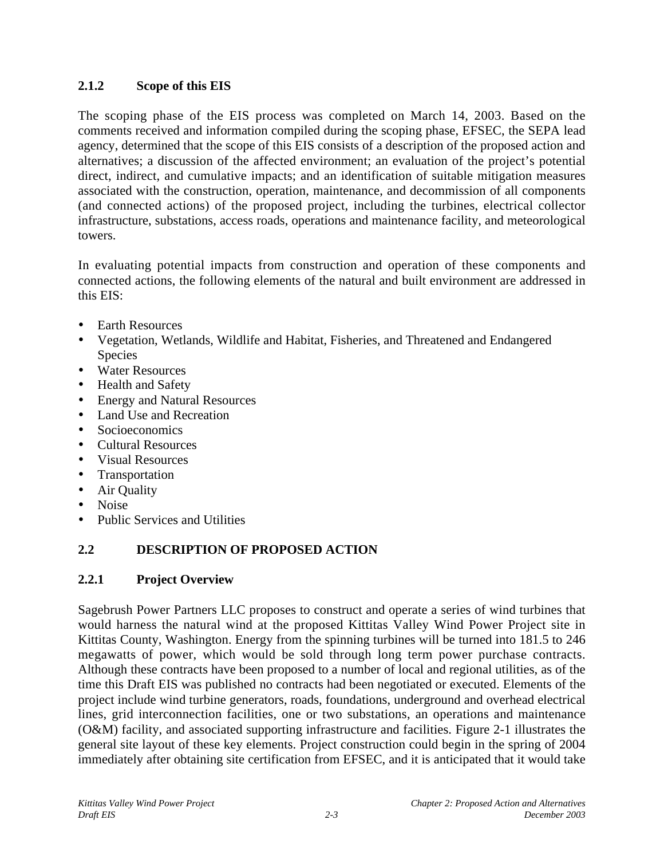## **2.1.2 Scope of this EIS**

The scoping phase of the EIS process was completed on March 14, 2003. Based on the comments received and information compiled during the scoping phase, EFSEC, the SEPA lead agency, determined that the scope of this EIS consists of a description of the proposed action and alternatives; a discussion of the affected environment; an evaluation of the project's potential direct, indirect, and cumulative impacts; and an identification of suitable mitigation measures associated with the construction, operation, maintenance, and decommission of all components (and connected actions) of the proposed project, including the turbines, electrical collector infrastructure, substations, access roads, operations and maintenance facility, and meteorological towers.

In evaluating potential impacts from construction and operation of these components and connected actions, the following elements of the natural and built environment are addressed in this EIS:

- Earth Resources
- Vegetation, Wetlands, Wildlife and Habitat, Fisheries, and Threatened and Endangered Species
- Water Resources
- Health and Safety
- Energy and Natural Resources<br>• Land Use and Recreation
- Land Use and Recreation
- **Socioeconomics**
- Cultural Resources
- Visual Resources
- Transportation
- Air Quality
- Noise
- Public Services and Utilities

# **2.2 DESCRIPTION OF PROPOSED ACTION**

## **2.2.1 Project Overview**

Sagebrush Power Partners LLC proposes to construct and operate a series of wind turbines that would harness the natural wind at the proposed Kittitas Valley Wind Power Project site in Kittitas County, Washington. Energy from the spinning turbines will be turned into 181.5 to 246 megawatts of power, which would be sold through long term power purchase contracts. Although these contracts have been proposed to a number of local and regional utilities, as of the time this Draft EIS was published no contracts had been negotiated or executed. Elements of the project include wind turbine generators, roads, foundations, underground and overhead electrical lines, grid interconnection facilities, one or two substations, an operations and maintenance (O&M) facility, and associated supporting infrastructure and facilities. Figure 2-1 illustrates the general site layout of these key elements. Project construction could begin in the spring of 2004 immediately after obtaining site certification from EFSEC, and it is anticipated that it would take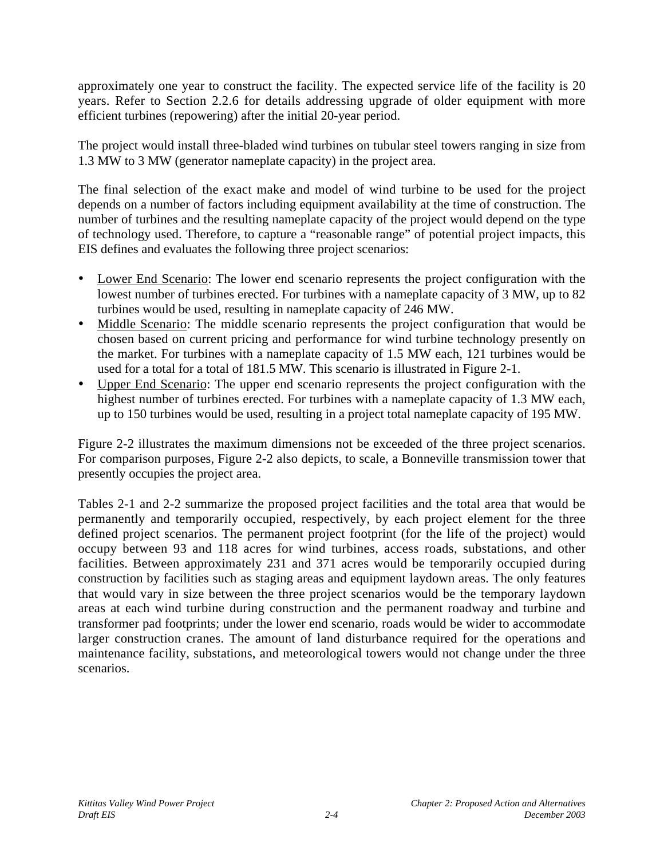approximately one year to construct the facility. The expected service life of the facility is 20 years. Refer to Section 2.2.6 for details addressing upgrade of older equipment with more efficient turbines (repowering) after the initial 20-year period.

The project would install three-bladed wind turbines on tubular steel towers ranging in size from 1.3 MW to 3 MW (generator nameplate capacity) in the project area.

The final selection of the exact make and model of wind turbine to be used for the project depends on a number of factors including equipment availability at the time of construction. The number of turbines and the resulting nameplate capacity of the project would depend on the type of technology used. Therefore, to capture a "reasonable range" of potential project impacts, this EIS defines and evaluates the following three project scenarios:

- Lower End Scenario: The lower end scenario represents the project configuration with the lowest number of turbines erected. For turbines with a nameplate capacity of 3 MW, up to 82 turbines would be used, resulting in nameplate capacity of 246 MW.
- Middle Scenario: The middle scenario represents the project configuration that would be chosen based on current pricing and performance for wind turbine technology presently on the market. For turbines with a nameplate capacity of 1.5 MW each, 121 turbines would be used for a total for a total of 181.5 MW. This scenario is illustrated in Figure 2-1.
- Upper End Scenario: The upper end scenario represents the project configuration with the highest number of turbines erected. For turbines with a nameplate capacity of 1.3 MW each, up to 150 turbines would be used, resulting in a project total nameplate capacity of 195 MW.

Figure 2-2 illustrates the maximum dimensions not be exceeded of the three project scenarios. For comparison purposes, Figure 2-2 also depicts, to scale, a Bonneville transmission tower that presently occupies the project area.

Tables 2-1 and 2-2 summarize the proposed project facilities and the total area that would be permanently and temporarily occupied, respectively, by each project element for the three defined project scenarios. The permanent project footprint (for the life of the project) would occupy between 93 and 118 acres for wind turbines, access roads, substations, and other facilities. Between approximately 231 and 371 acres would be temporarily occupied during construction by facilities such as staging areas and equipment laydown areas. The only features that would vary in size between the three project scenarios would be the temporary laydown areas at each wind turbine during construction and the permanent roadway and turbine and transformer pad footprints; under the lower end scenario, roads would be wider to accommodate larger construction cranes. The amount of land disturbance required for the operations and maintenance facility, substations, and meteorological towers would not change under the three scenarios.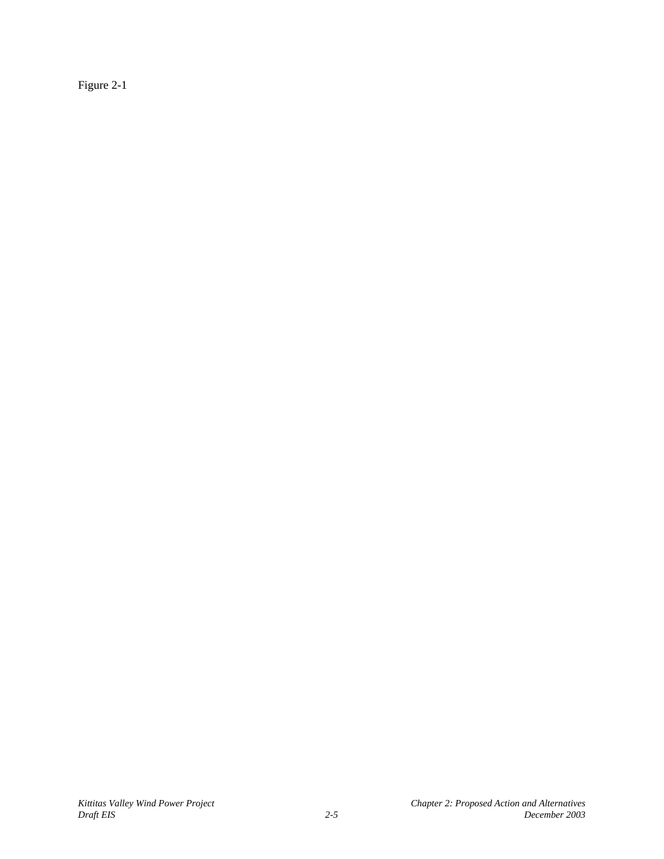Figure 2-1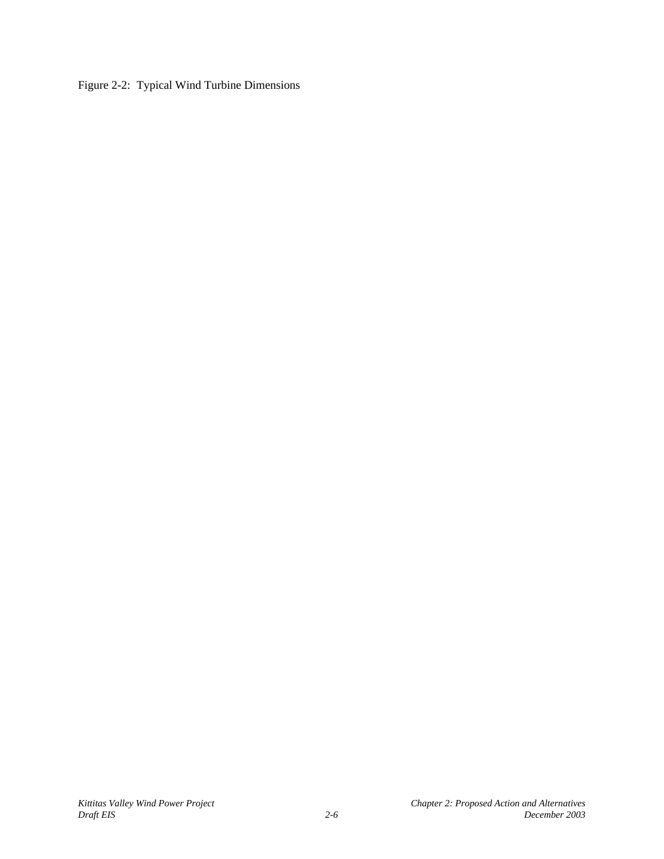Figure 2-2: Typical Wind Turbine Dimensions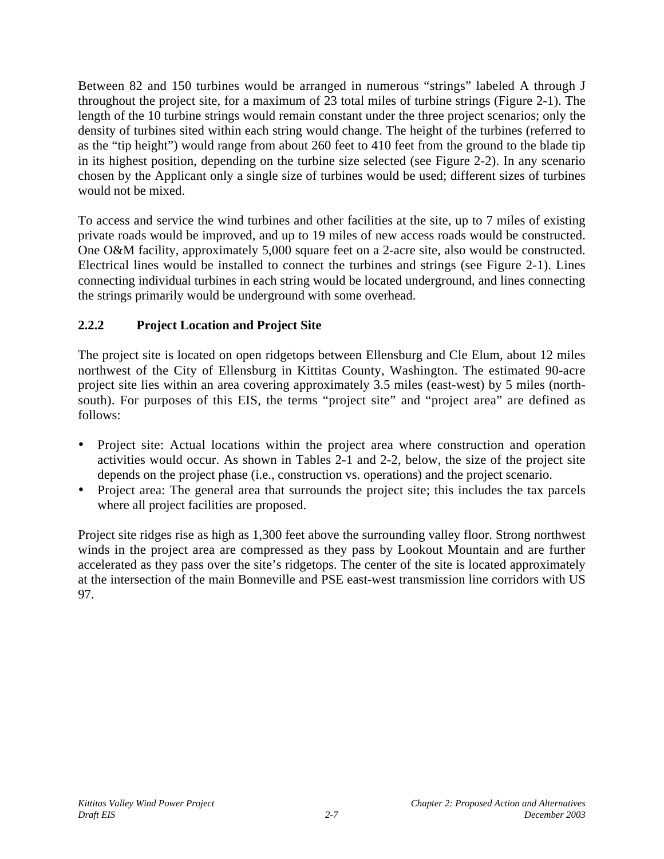Between 82 and 150 turbines would be arranged in numerous "strings" labeled A through J throughout the project site, for a maximum of 23 total miles of turbine strings (Figure 2-1). The length of the 10 turbine strings would remain constant under the three project scenarios; only the density of turbines sited within each string would change. The height of the turbines (referred to as the "tip height") would range from about 260 feet to 410 feet from the ground to the blade tip in its highest position, depending on the turbine size selected (see Figure 2-2). In any scenario chosen by the Applicant only a single size of turbines would be used; different sizes of turbines would not be mixed.

To access and service the wind turbines and other facilities at the site, up to 7 miles of existing private roads would be improved, and up to 19 miles of new access roads would be constructed. One O&M facility, approximately 5,000 square feet on a 2-acre site, also would be constructed. Electrical lines would be installed to connect the turbines and strings (see Figure 2-1). Lines connecting individual turbines in each string would be located underground, and lines connecting the strings primarily would be underground with some overhead.

# **2.2.2 Project Location and Project Site**

The project site is located on open ridgetops between Ellensburg and Cle Elum, about 12 miles northwest of the City of Ellensburg in Kittitas County, Washington. The estimated 90-acre project site lies within an area covering approximately 3.5 miles (east-west) by 5 miles (northsouth). For purposes of this EIS, the terms "project site" and "project area" are defined as follows:

- Project site: Actual locations within the project area where construction and operation activities would occur. As shown in Tables 2-1 and 2-2, below, the size of the project site depends on the project phase (i.e., construction vs. operations) and the project scenario.
- Project area: The general area that surrounds the project site; this includes the tax parcels where all project facilities are proposed.

Project site ridges rise as high as 1,300 feet above the surrounding valley floor. Strong northwest winds in the project area are compressed as they pass by Lookout Mountain and are further accelerated as they pass over the site's ridgetops. The center of the site is located approximately at the intersection of the main Bonneville and PSE east-west transmission line corridors with US 97.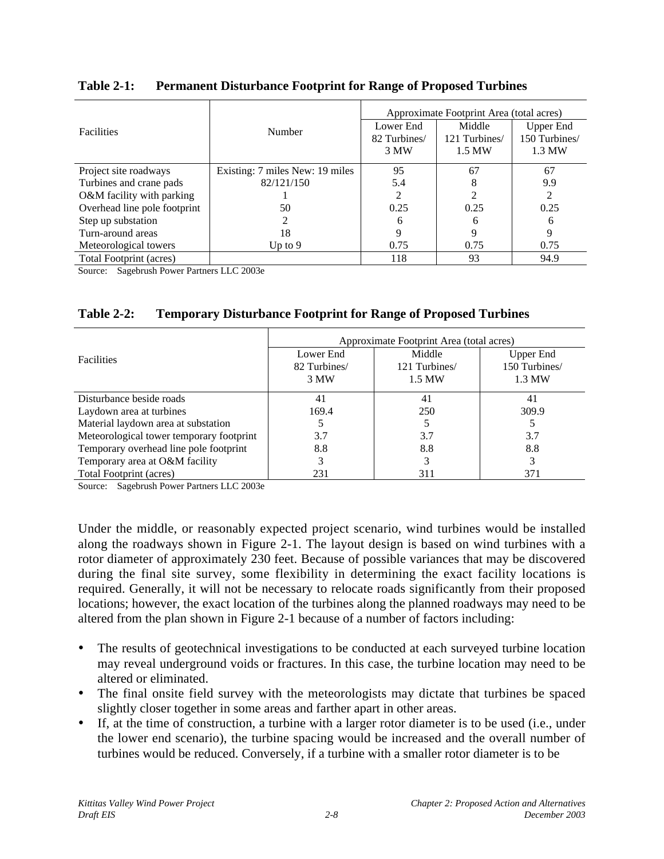|                              |                                 | Approximate Footprint Area (total acres) |               |               |  |
|------------------------------|---------------------------------|------------------------------------------|---------------|---------------|--|
| <b>Facilities</b>            | Number                          | Lower End                                | Middle        | Upper End     |  |
|                              |                                 | 82 Turbines/                             | 121 Turbines/ | 150 Turbines/ |  |
|                              |                                 | 3 MW                                     | 1.5 MW        | 1.3 MW        |  |
| Project site roadways        | Existing: 7 miles New: 19 miles | 95                                       | 67            | 67            |  |
| Turbines and crane pads      | 82/121/150                      | 5.4                                      | 8             | 9.9           |  |
| O&M facility with parking    |                                 |                                          | 2             | 2             |  |
| Overhead line pole footprint | 50                              | 0.25                                     | 0.25          | 0.25          |  |
| Step up substation           | 2                               | 6                                        | 6             | 6             |  |
| Turn-around areas            | 18                              | Q                                        | 9             | 9             |  |
| Meteorological towers        | Up to $9$                       | 0.75                                     | 0.75          | 0.75          |  |
| Total Footprint (acres)      |                                 | 118                                      | 93            | 94.9          |  |

**Table 2-1: Permanent Disturbance Footprint for Range of Proposed Turbines**

Source: Sagebrush Power Partners LLC 2003e

| <b>Table 2-2:</b> |  |  | <b>Temporary Disturbance Footprint for Range of Proposed Turbines</b> |
|-------------------|--|--|-----------------------------------------------------------------------|
|                   |  |  |                                                                       |

|                                          | Approximate Footprint Area (total acres) |               |               |  |
|------------------------------------------|------------------------------------------|---------------|---------------|--|
| <b>Facilities</b>                        | Lower End                                | Middle        | Upper End     |  |
|                                          | 82 Turbines                              | 121 Turbines/ | 150 Turbines/ |  |
|                                          | 3 MW                                     | 1.5 MW        | 1.3 MW        |  |
| Disturbance beside roads                 | 41                                       | 41            | 41            |  |
| Laydown area at turbines                 | 169.4                                    | 250           | 309.9         |  |
| Material laydown area at substation      |                                          |               |               |  |
| Meteorological tower temporary footprint | 3.7                                      | 3.7           | 3.7           |  |
| Temporary overhead line pole footprint   | 8.8                                      | 8.8           | 8.8           |  |
| Temporary area at O&M facility           |                                          |               |               |  |
| Total Footprint (acres)                  | 231                                      | 311           | 371           |  |

Source: Sagebrush Power Partners LLC 2003e

Under the middle, or reasonably expected project scenario, wind turbines would be installed along the roadways shown in Figure 2-1. The layout design is based on wind turbines with a rotor diameter of approximately 230 feet. Because of possible variances that may be discovered during the final site survey, some flexibility in determining the exact facility locations is required. Generally, it will not be necessary to relocate roads significantly from their proposed locations; however, the exact location of the turbines along the planned roadways may need to be altered from the plan shown in Figure 2-1 because of a number of factors including:

- The results of geotechnical investigations to be conducted at each surveyed turbine location may reveal underground voids or fractures. In this case, the turbine location may need to be altered or eliminated.
- The final onsite field survey with the meteorologists may dictate that turbines be spaced slightly closer together in some areas and farther apart in other areas.
- If, at the time of construction, a turbine with a larger rotor diameter is to be used (i.e., under the lower end scenario), the turbine spacing would be increased and the overall number of turbines would be reduced. Conversely, if a turbine with a smaller rotor diameter is to be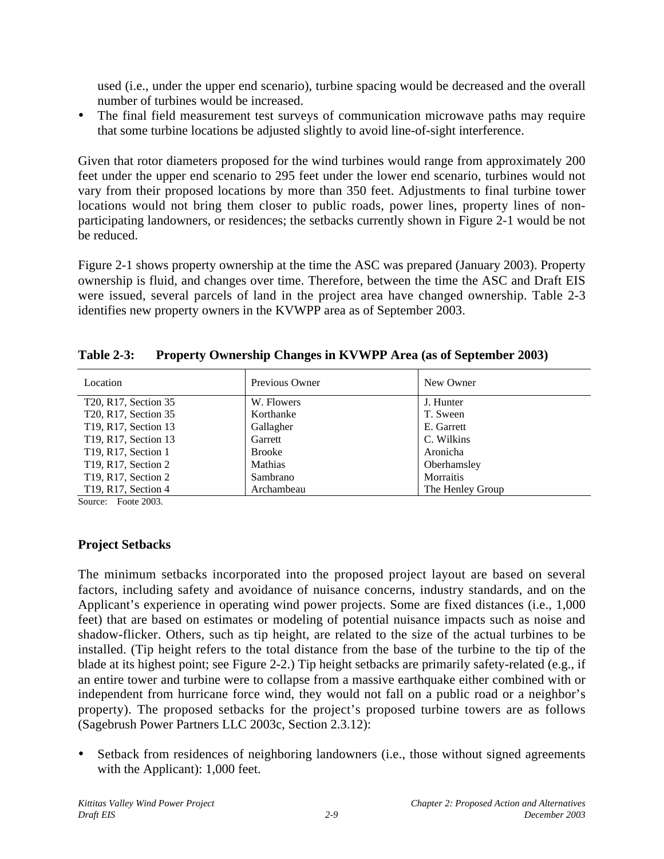used (i.e., under the upper end scenario), turbine spacing would be decreased and the overall number of turbines would be increased.

The final field measurement test surveys of communication microwave paths may require that some turbine locations be adjusted slightly to avoid line-of-sight interference.

Given that rotor diameters proposed for the wind turbines would range from approximately 200 feet under the upper end scenario to 295 feet under the lower end scenario, turbines would not vary from their proposed locations by more than 350 feet. Adjustments to final turbine tower locations would not bring them closer to public roads, power lines, property lines of nonparticipating landowners, or residences; the setbacks currently shown in Figure 2-1 would be not be reduced.

Figure 2-1 shows property ownership at the time the ASC was prepared (January 2003). Property ownership is fluid, and changes over time. Therefore, between the time the ASC and Draft EIS were issued, several parcels of land in the project area have changed ownership. Table 2-3 identifies new property owners in the KVWPP area as of September 2003.

| Location                                      | Previous Owner | New Owner        |
|-----------------------------------------------|----------------|------------------|
| T20, R17, Section 35                          | W. Flowers     | J. Hunter        |
| T20, R17, Section 35                          | Korthanke      | T. Sween         |
| T19, R17, Section 13                          | Gallagher      | E. Garrett       |
| T19, R17, Section 13                          | Garrett        | C. Wilkins       |
| T19, R17, Section 1                           | <b>Brooke</b>  | Aronicha         |
| T <sub>19</sub> , R <sub>17</sub> , Section 2 | Mathias        | Oberhamsley      |
| T <sub>19</sub> , R <sub>17</sub> , Section 2 | Sambrano       | <b>Morraitis</b> |
| T19, R17, Section 4                           | Archambeau     | The Henley Group |

**Table 2-3: Property Ownership Changes in KVWPP Area (as of September 2003)**

Source: Foote 2003.

## **Project Setbacks**

The minimum setbacks incorporated into the proposed project layout are based on several factors, including safety and avoidance of nuisance concerns, industry standards, and on the Applicant's experience in operating wind power projects. Some are fixed distances (i.e., 1,000 feet) that are based on estimates or modeling of potential nuisance impacts such as noise and shadow-flicker. Others, such as tip height, are related to the size of the actual turbines to be installed. (Tip height refers to the total distance from the base of the turbine to the tip of the blade at its highest point; see Figure 2-2.) Tip height setbacks are primarily safety-related (e.g., if an entire tower and turbine were to collapse from a massive earthquake either combined with or independent from hurricane force wind, they would not fall on a public road or a neighbor's property). The proposed setbacks for the project's proposed turbine towers are as follows (Sagebrush Power Partners LLC 2003c, Section 2.3.12):

• Setback from residences of neighboring landowners (i.e., those without signed agreements with the Applicant): 1,000 feet.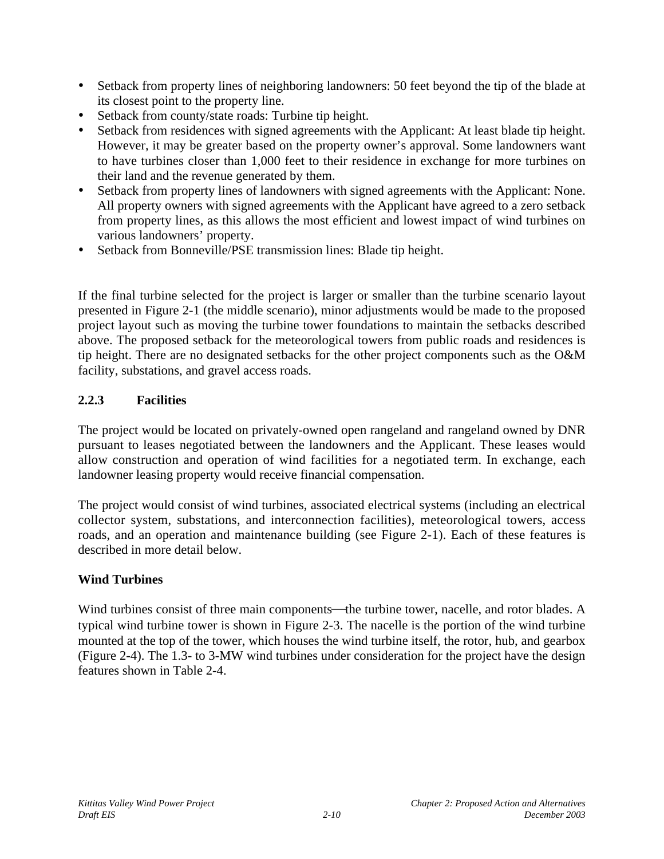- Setback from property lines of neighboring landowners: 50 feet beyond the tip of the blade at its closest point to the property line.
- Setback from county/state roads: Turbine tip height.
- Setback from residences with signed agreements with the Applicant: At least blade tip height. However, it may be greater based on the property owner's approval. Some landowners want to have turbines closer than 1,000 feet to their residence in exchange for more turbines on their land and the revenue generated by them.
- Setback from property lines of landowners with signed agreements with the Applicant: None. All property owners with signed agreements with the Applicant have agreed to a zero setback from property lines, as this allows the most efficient and lowest impact of wind turbines on various landowners' property.
- Setback from Bonneville/PSE transmission lines: Blade tip height.

If the final turbine selected for the project is larger or smaller than the turbine scenario layout presented in Figure 2-1 (the middle scenario), minor adjustments would be made to the proposed project layout such as moving the turbine tower foundations to maintain the setbacks described above. The proposed setback for the meteorological towers from public roads and residences is tip height. There are no designated setbacks for the other project components such as the O&M facility, substations, and gravel access roads.

## **2.2.3 Facilities**

The project would be located on privately-owned open rangeland and rangeland owned by DNR pursuant to leases negotiated between the landowners and the Applicant. These leases would allow construction and operation of wind facilities for a negotiated term. In exchange, each landowner leasing property would receive financial compensation.

The project would consist of wind turbines, associated electrical systems (including an electrical collector system, substations, and interconnection facilities), meteorological towers, access roads, and an operation and maintenance building (see Figure 2-1). Each of these features is described in more detail below.

### **Wind Turbines**

Wind turbines consist of three main components—the turbine tower, nacelle, and rotor blades. A typical wind turbine tower is shown in Figure 2-3. The nacelle is the portion of the wind turbine mounted at the top of the tower, which houses the wind turbine itself, the rotor, hub, and gearbox (Figure 2-4). The 1.3- to 3-MW wind turbines under consideration for the project have the design features shown in Table 2-4.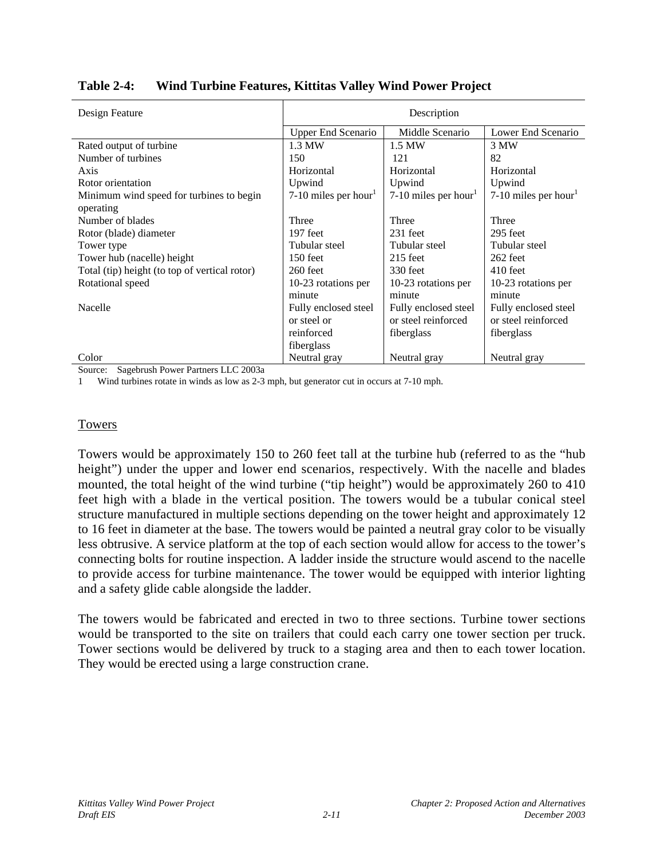| Design Feature                                        | Description               |                      |                      |  |
|-------------------------------------------------------|---------------------------|----------------------|----------------------|--|
|                                                       | <b>Upper End Scenario</b> | Middle Scenario      | Lower End Scenario   |  |
| Rated output of turbine                               | 1.3 MW                    | 1.5 MW               | 3 MW                 |  |
| Number of turbines                                    | 150                       | 121                  | 82                   |  |
| Axis                                                  | Horizontal                | Horizontal           | Horizontal           |  |
| Rotor orientation                                     | Upwind                    | Upwind               | Upwind               |  |
| Minimum wind speed for turbines to begin<br>operating | 7-10 miles per hour       | 7-10 miles per hour  | 7-10 miles per hour  |  |
| Number of blades                                      | Three                     | Three                | Three                |  |
| Rotor (blade) diameter                                | 197 feet                  | $231$ feet           | 295 feet             |  |
| Tower type                                            | Tubular steel             | Tubular steel        | Tubular steel        |  |
| Tower hub (nacelle) height                            | 150 feet                  | $215$ feet           | 262 feet             |  |
| Total (tip) height (to top of vertical rotor)         | 260 feet                  | 330 feet             | $410$ feet           |  |
| Rotational speed                                      | 10-23 rotations per       | 10-23 rotations per  | 10-23 rotations per  |  |
|                                                       | minute                    | minute               | minute               |  |
| Nacelle                                               | Fully enclosed steel      | Fully enclosed steel | Fully enclosed steel |  |
|                                                       | or steel or               | or steel reinforced  | or steel reinforced  |  |
|                                                       | reinforced                | fiberglass           | fiberglass           |  |
|                                                       | fiberglass                |                      |                      |  |
| Color                                                 | Neutral gray              | Neutral gray         | Neutral gray         |  |

**Table 2-4: Wind Turbine Features, Kittitas Valley Wind Power Project**

Source: Sagebrush Power Partners LLC 2003a

1 Wind turbines rotate in winds as low as 2-3 mph, but generator cut in occurs at 7-10 mph.

#### Towers

Towers would be approximately 150 to 260 feet tall at the turbine hub (referred to as the "hub height") under the upper and lower end scenarios, respectively. With the nacelle and blades mounted, the total height of the wind turbine ("tip height") would be approximately 260 to 410 feet high with a blade in the vertical position. The towers would be a tubular conical steel structure manufactured in multiple sections depending on the tower height and approximately 12 to 16 feet in diameter at the base. The towers would be painted a neutral gray color to be visually less obtrusive. A service platform at the top of each section would allow for access to the tower's connecting bolts for routine inspection. A ladder inside the structure would ascend to the nacelle to provide access for turbine maintenance. The tower would be equipped with interior lighting and a safety glide cable alongside the ladder.

The towers would be fabricated and erected in two to three sections. Turbine tower sections would be transported to the site on trailers that could each carry one tower section per truck. Tower sections would be delivered by truck to a staging area and then to each tower location. They would be erected using a large construction crane.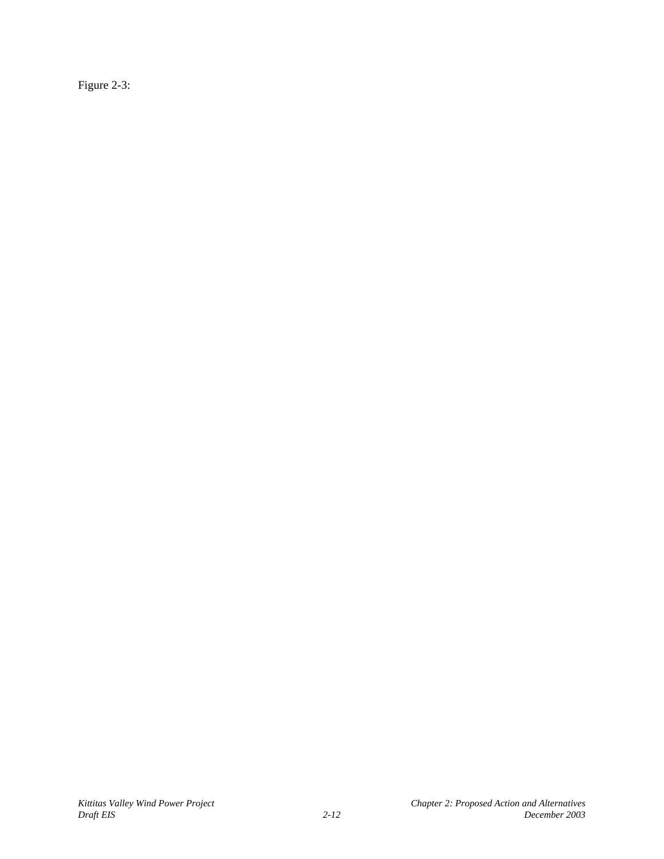Figure 2-3: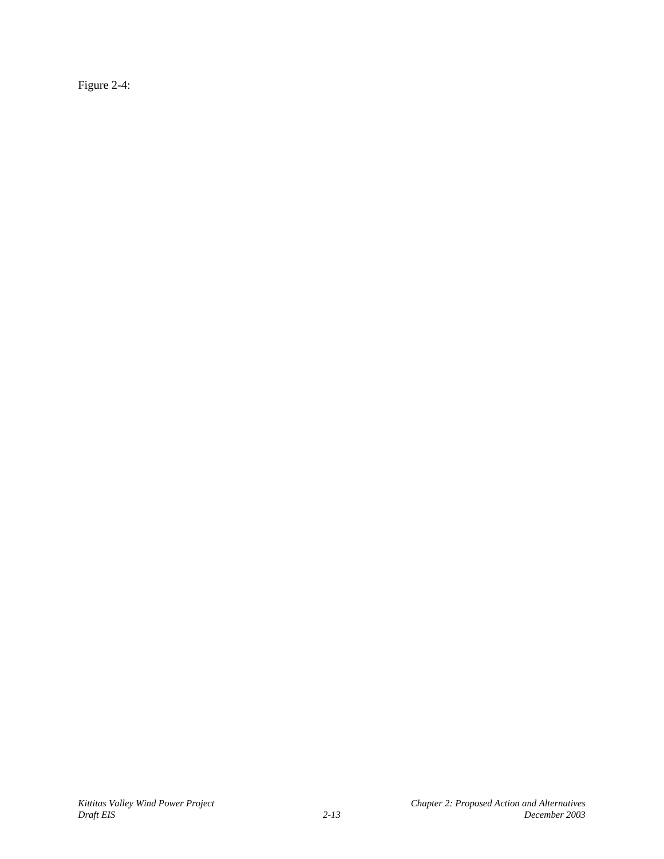Figure 2-4: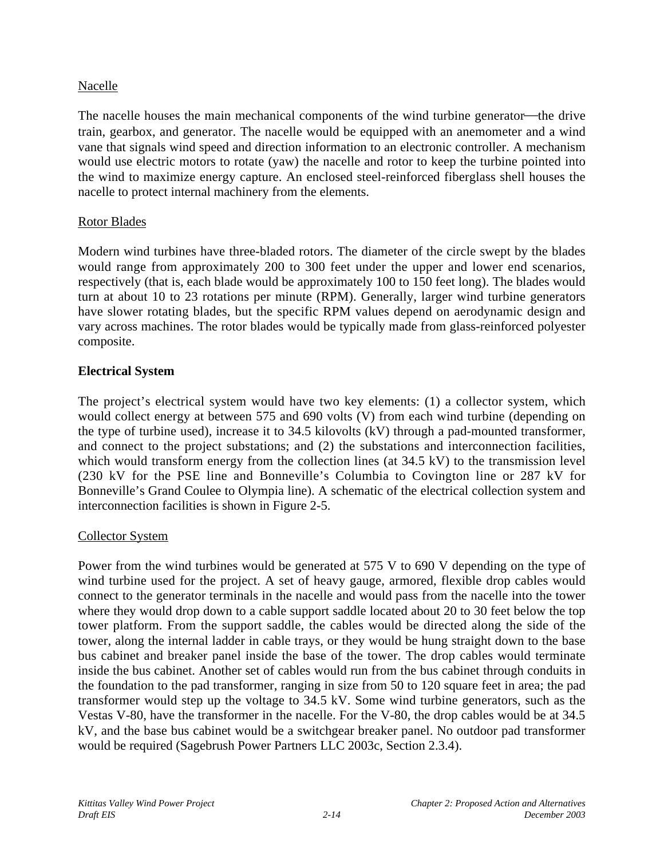#### Nacelle

The nacelle houses the main mechanical components of the wind turbine generator—the drive train, gearbox, and generator. The nacelle would be equipped with an anemometer and a wind vane that signals wind speed and direction information to an electronic controller. A mechanism would use electric motors to rotate (yaw) the nacelle and rotor to keep the turbine pointed into the wind to maximize energy capture. An enclosed steel-reinforced fiberglass shell houses the nacelle to protect internal machinery from the elements.

#### Rotor Blades

Modern wind turbines have three-bladed rotors. The diameter of the circle swept by the blades would range from approximately 200 to 300 feet under the upper and lower end scenarios, respectively (that is, each blade would be approximately 100 to 150 feet long). The blades would turn at about 10 to 23 rotations per minute (RPM). Generally, larger wind turbine generators have slower rotating blades, but the specific RPM values depend on aerodynamic design and vary across machines. The rotor blades would be typically made from glass-reinforced polyester composite.

### **Electrical System**

The project's electrical system would have two key elements: (1) a collector system, which would collect energy at between 575 and 690 volts (V) from each wind turbine (depending on the type of turbine used), increase it to 34.5 kilovolts (kV) through a pad-mounted transformer, and connect to the project substations; and (2) the substations and interconnection facilities, which would transform energy from the collection lines (at 34.5 kV) to the transmission level (230 kV for the PSE line and Bonneville's Columbia to Covington line or 287 kV for Bonneville's Grand Coulee to Olympia line). A schematic of the electrical collection system and interconnection facilities is shown in Figure 2-5.

### Collector System

Power from the wind turbines would be generated at 575 V to 690 V depending on the type of wind turbine used for the project. A set of heavy gauge, armored, flexible drop cables would connect to the generator terminals in the nacelle and would pass from the nacelle into the tower where they would drop down to a cable support saddle located about 20 to 30 feet below the top tower platform. From the support saddle, the cables would be directed along the side of the tower, along the internal ladder in cable trays, or they would be hung straight down to the base bus cabinet and breaker panel inside the base of the tower. The drop cables would terminate inside the bus cabinet. Another set of cables would run from the bus cabinet through conduits in the foundation to the pad transformer, ranging in size from 50 to 120 square feet in area; the pad transformer would step up the voltage to 34.5 kV. Some wind turbine generators, such as the Vestas V-80, have the transformer in the nacelle. For the V-80, the drop cables would be at 34.5 kV, and the base bus cabinet would be a switchgear breaker panel. No outdoor pad transformer would be required (Sagebrush Power Partners LLC 2003c, Section 2.3.4).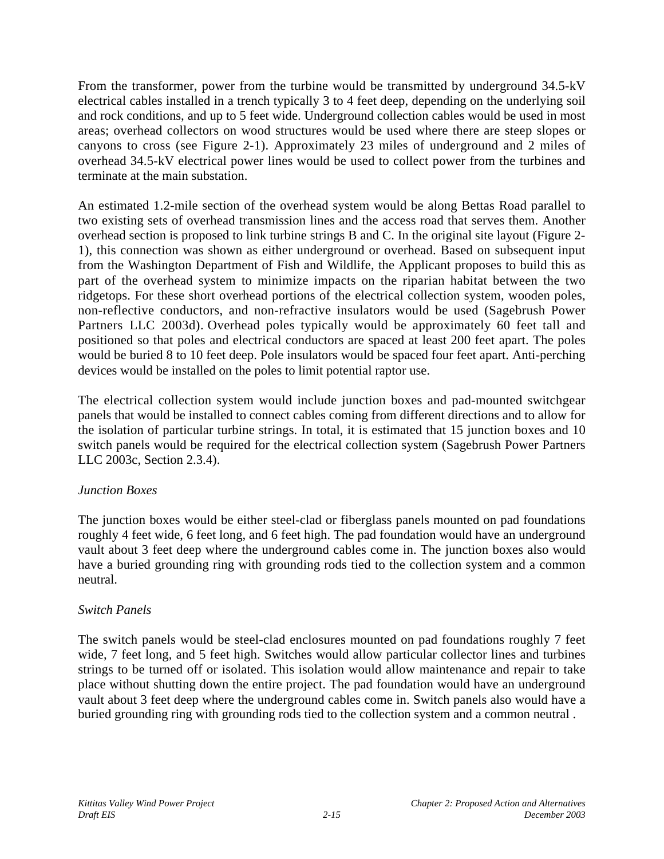From the transformer, power from the turbine would be transmitted by underground 34.5-kV electrical cables installed in a trench typically 3 to 4 feet deep, depending on the underlying soil and rock conditions, and up to 5 feet wide. Underground collection cables would be used in most areas; overhead collectors on wood structures would be used where there are steep slopes or canyons to cross (see Figure 2-1). Approximately 23 miles of underground and 2 miles of overhead 34.5-kV electrical power lines would be used to collect power from the turbines and terminate at the main substation.

An estimated 1.2-mile section of the overhead system would be along Bettas Road parallel to two existing sets of overhead transmission lines and the access road that serves them. Another overhead section is proposed to link turbine strings B and C. In the original site layout (Figure 2- 1), this connection was shown as either underground or overhead. Based on subsequent input from the Washington Department of Fish and Wildlife, the Applicant proposes to build this as part of the overhead system to minimize impacts on the riparian habitat between the two ridgetops. For these short overhead portions of the electrical collection system, wooden poles, non-reflective conductors, and non-refractive insulators would be used (Sagebrush Power Partners LLC 2003d). Overhead poles typically would be approximately 60 feet tall and positioned so that poles and electrical conductors are spaced at least 200 feet apart. The poles would be buried 8 to 10 feet deep. Pole insulators would be spaced four feet apart. Anti-perching devices would be installed on the poles to limit potential raptor use.

The electrical collection system would include junction boxes and pad-mounted switchgear panels that would be installed to connect cables coming from different directions and to allow for the isolation of particular turbine strings. In total, it is estimated that 15 junction boxes and 10 switch panels would be required for the electrical collection system (Sagebrush Power Partners LLC 2003c, Section 2.3.4).

### *Junction Boxes*

The junction boxes would be either steel-clad or fiberglass panels mounted on pad foundations roughly 4 feet wide, 6 feet long, and 6 feet high. The pad foundation would have an underground vault about 3 feet deep where the underground cables come in. The junction boxes also would have a buried grounding ring with grounding rods tied to the collection system and a common neutral.

### *Switch Panels*

The switch panels would be steel-clad enclosures mounted on pad foundations roughly 7 feet wide, 7 feet long, and 5 feet high. Switches would allow particular collector lines and turbines strings to be turned off or isolated. This isolation would allow maintenance and repair to take place without shutting down the entire project. The pad foundation would have an underground vault about 3 feet deep where the underground cables come in. Switch panels also would have a buried grounding ring with grounding rods tied to the collection system and a common neutral .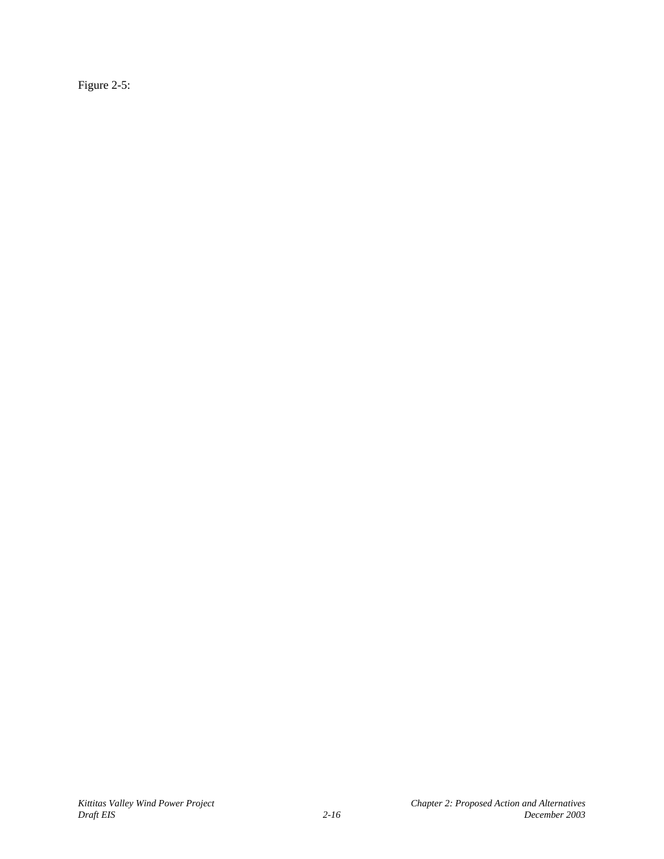Figure 2-5: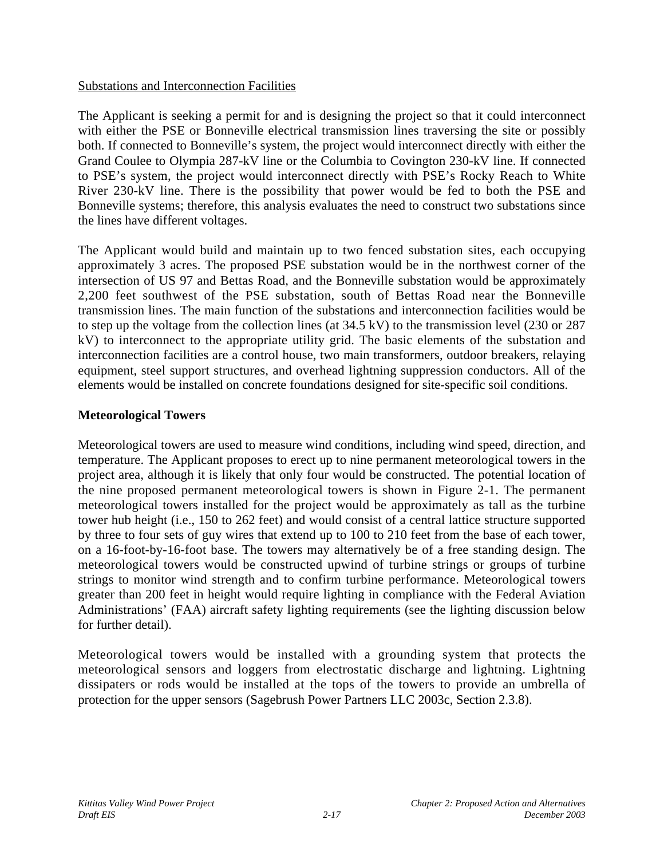#### Substations and Interconnection Facilities

The Applicant is seeking a permit for and is designing the project so that it could interconnect with either the PSE or Bonneville electrical transmission lines traversing the site or possibly both. If connected to Bonneville's system, the project would interconnect directly with either the Grand Coulee to Olympia 287-kV line or the Columbia to Covington 230-kV line. If connected to PSE's system, the project would interconnect directly with PSE's Rocky Reach to White River 230-kV line. There is the possibility that power would be fed to both the PSE and Bonneville systems; therefore, this analysis evaluates the need to construct two substations since the lines have different voltages.

The Applicant would build and maintain up to two fenced substation sites, each occupying approximately 3 acres. The proposed PSE substation would be in the northwest corner of the intersection of US 97 and Bettas Road, and the Bonneville substation would be approximately 2,200 feet southwest of the PSE substation, south of Bettas Road near the Bonneville transmission lines. The main function of the substations and interconnection facilities would be to step up the voltage from the collection lines (at 34.5 kV) to the transmission level (230 or 287 kV) to interconnect to the appropriate utility grid. The basic elements of the substation and interconnection facilities are a control house, two main transformers, outdoor breakers, relaying equipment, steel support structures, and overhead lightning suppression conductors. All of the elements would be installed on concrete foundations designed for site-specific soil conditions.

### **Meteorological Towers**

Meteorological towers are used to measure wind conditions, including wind speed, direction, and temperature. The Applicant proposes to erect up to nine permanent meteorological towers in the project area, although it is likely that only four would be constructed. The potential location of the nine proposed permanent meteorological towers is shown in Figure 2-1. The permanent meteorological towers installed for the project would be approximately as tall as the turbine tower hub height (i.e., 150 to 262 feet) and would consist of a central lattice structure supported by three to four sets of guy wires that extend up to 100 to 210 feet from the base of each tower, on a 16-foot-by-16-foot base. The towers may alternatively be of a free standing design. The meteorological towers would be constructed upwind of turbine strings or groups of turbine strings to monitor wind strength and to confirm turbine performance. Meteorological towers greater than 200 feet in height would require lighting in compliance with the Federal Aviation Administrations' (FAA) aircraft safety lighting requirements (see the lighting discussion below for further detail).

Meteorological towers would be installed with a grounding system that protects the meteorological sensors and loggers from electrostatic discharge and lightning. Lightning dissipaters or rods would be installed at the tops of the towers to provide an umbrella of protection for the upper sensors (Sagebrush Power Partners LLC 2003c, Section 2.3.8).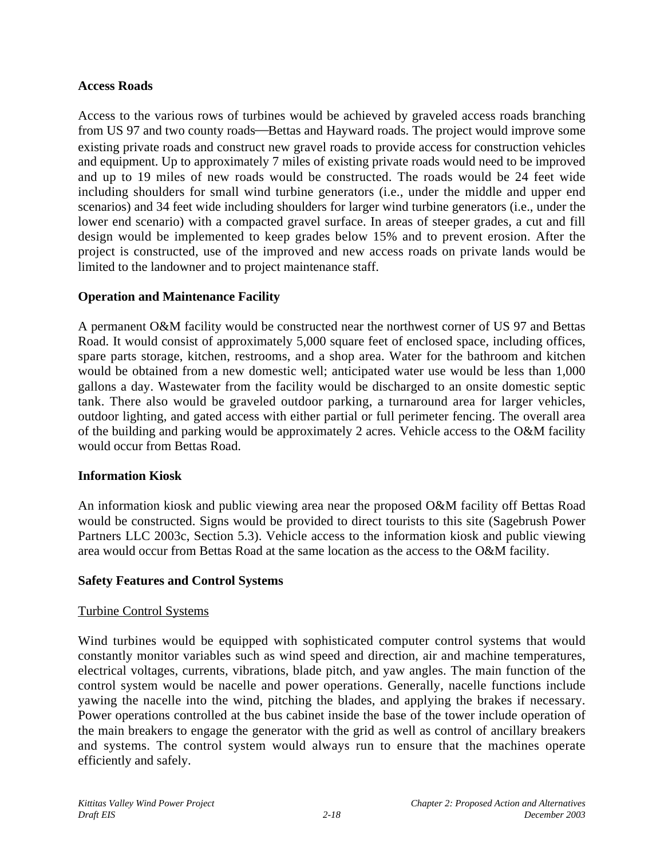#### **Access Roads**

Access to the various rows of turbines would be achieved by graveled access roads branching from US 97 and two county roads—Bettas and Hayward roads. The project would improve some existing private roads and construct new gravel roads to provide access for construction vehicles and equipment. Up to approximately 7 miles of existing private roads would need to be improved and up to 19 miles of new roads would be constructed. The roads would be 24 feet wide including shoulders for small wind turbine generators (i.e., under the middle and upper end scenarios) and 34 feet wide including shoulders for larger wind turbine generators (i.e., under the lower end scenario) with a compacted gravel surface. In areas of steeper grades, a cut and fill design would be implemented to keep grades below 15% and to prevent erosion. After the project is constructed, use of the improved and new access roads on private lands would be limited to the landowner and to project maintenance staff.

### **Operation and Maintenance Facility**

A permanent O&M facility would be constructed near the northwest corner of US 97 and Bettas Road. It would consist of approximately 5,000 square feet of enclosed space, including offices, spare parts storage, kitchen, restrooms, and a shop area. Water for the bathroom and kitchen would be obtained from a new domestic well; anticipated water use would be less than 1,000 gallons a day. Wastewater from the facility would be discharged to an onsite domestic septic tank. There also would be graveled outdoor parking, a turnaround area for larger vehicles, outdoor lighting, and gated access with either partial or full perimeter fencing. The overall area of the building and parking would be approximately 2 acres. Vehicle access to the O&M facility would occur from Bettas Road.

#### **Information Kiosk**

An information kiosk and public viewing area near the proposed O&M facility off Bettas Road would be constructed. Signs would be provided to direct tourists to this site (Sagebrush Power Partners LLC 2003c, Section 5.3). Vehicle access to the information kiosk and public viewing area would occur from Bettas Road at the same location as the access to the O&M facility.

#### **Safety Features and Control Systems**

#### Turbine Control Systems

Wind turbines would be equipped with sophisticated computer control systems that would constantly monitor variables such as wind speed and direction, air and machine temperatures, electrical voltages, currents, vibrations, blade pitch, and yaw angles. The main function of the control system would be nacelle and power operations. Generally, nacelle functions include yawing the nacelle into the wind, pitching the blades, and applying the brakes if necessary. Power operations controlled at the bus cabinet inside the base of the tower include operation of the main breakers to engage the generator with the grid as well as control of ancillary breakers and systems. The control system would always run to ensure that the machines operate efficiently and safely.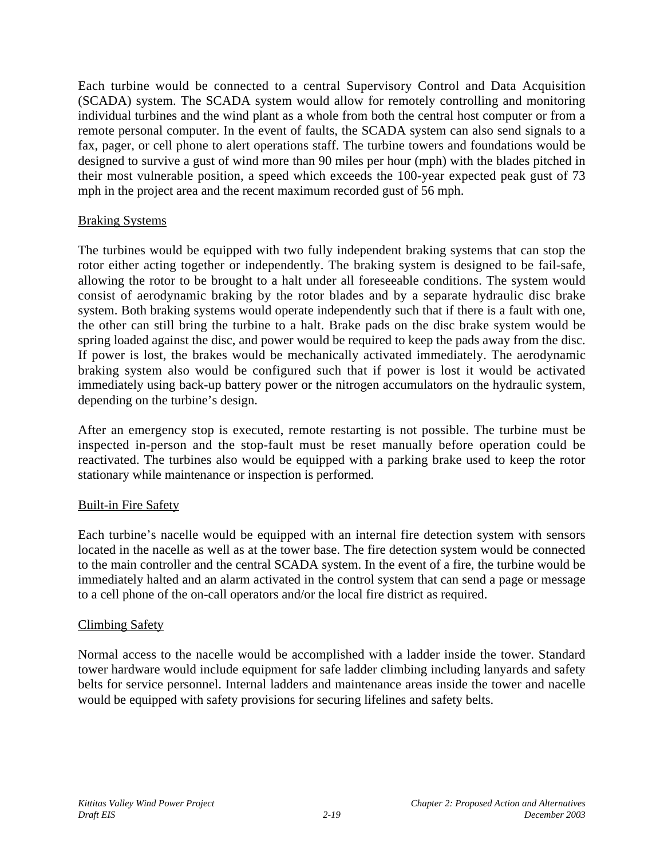Each turbine would be connected to a central Supervisory Control and Data Acquisition (SCADA) system. The SCADA system would allow for remotely controlling and monitoring individual turbines and the wind plant as a whole from both the central host computer or from a remote personal computer. In the event of faults, the SCADA system can also send signals to a fax, pager, or cell phone to alert operations staff. The turbine towers and foundations would be designed to survive a gust of wind more than 90 miles per hour (mph) with the blades pitched in their most vulnerable position, a speed which exceeds the 100-year expected peak gust of 73 mph in the project area and the recent maximum recorded gust of 56 mph.

### Braking Systems

The turbines would be equipped with two fully independent braking systems that can stop the rotor either acting together or independently. The braking system is designed to be fail-safe, allowing the rotor to be brought to a halt under all foreseeable conditions. The system would consist of aerodynamic braking by the rotor blades and by a separate hydraulic disc brake system. Both braking systems would operate independently such that if there is a fault with one, the other can still bring the turbine to a halt. Brake pads on the disc brake system would be spring loaded against the disc, and power would be required to keep the pads away from the disc. If power is lost, the brakes would be mechanically activated immediately. The aerodynamic braking system also would be configured such that if power is lost it would be activated immediately using back-up battery power or the nitrogen accumulators on the hydraulic system, depending on the turbine's design.

After an emergency stop is executed, remote restarting is not possible. The turbine must be inspected in-person and the stop-fault must be reset manually before operation could be reactivated. The turbines also would be equipped with a parking brake used to keep the rotor stationary while maintenance or inspection is performed.

### Built-in Fire Safety

Each turbine's nacelle would be equipped with an internal fire detection system with sensors located in the nacelle as well as at the tower base. The fire detection system would be connected to the main controller and the central SCADA system. In the event of a fire, the turbine would be immediately halted and an alarm activated in the control system that can send a page or message to a cell phone of the on-call operators and/or the local fire district as required.

### Climbing Safety

Normal access to the nacelle would be accomplished with a ladder inside the tower. Standard tower hardware would include equipment for safe ladder climbing including lanyards and safety belts for service personnel. Internal ladders and maintenance areas inside the tower and nacelle would be equipped with safety provisions for securing lifelines and safety belts.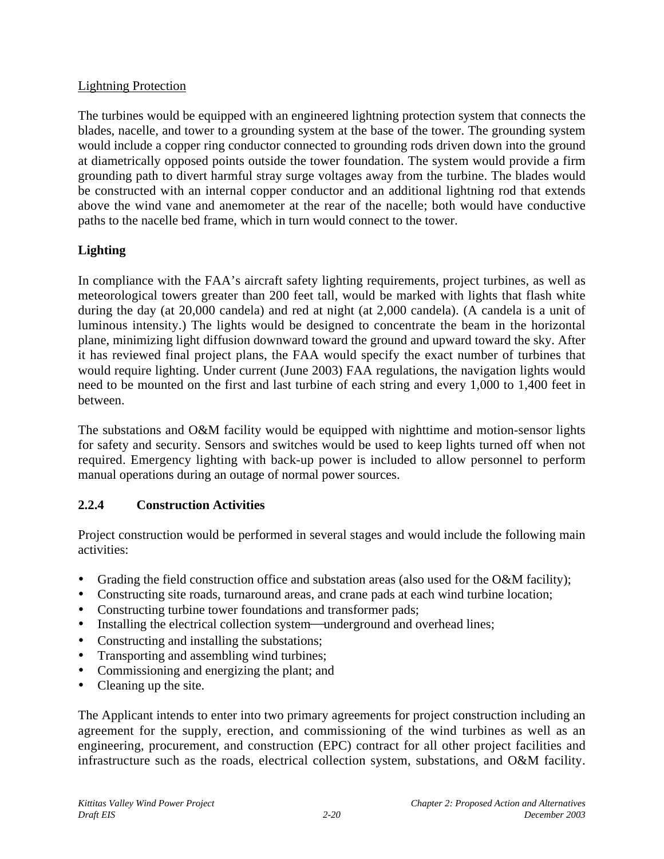### Lightning Protection

The turbines would be equipped with an engineered lightning protection system that connects the blades, nacelle, and tower to a grounding system at the base of the tower. The grounding system would include a copper ring conductor connected to grounding rods driven down into the ground at diametrically opposed points outside the tower foundation. The system would provide a firm grounding path to divert harmful stray surge voltages away from the turbine. The blades would be constructed with an internal copper conductor and an additional lightning rod that extends above the wind vane and anemometer at the rear of the nacelle; both would have conductive paths to the nacelle bed frame, which in turn would connect to the tower.

# **Lighting**

In compliance with the FAA's aircraft safety lighting requirements, project turbines, as well as meteorological towers greater than 200 feet tall, would be marked with lights that flash white during the day (at 20,000 candela) and red at night (at 2,000 candela). (A candela is a unit of luminous intensity.) The lights would be designed to concentrate the beam in the horizontal plane, minimizing light diffusion downward toward the ground and upward toward the sky. After it has reviewed final project plans, the FAA would specify the exact number of turbines that would require lighting. Under current (June 2003) FAA regulations, the navigation lights would need to be mounted on the first and last turbine of each string and every 1,000 to 1,400 feet in between.

The substations and O&M facility would be equipped with nighttime and motion-sensor lights for safety and security. Sensors and switches would be used to keep lights turned off when not required. Emergency lighting with back-up power is included to allow personnel to perform manual operations during an outage of normal power sources.

## **2.2.4 Construction Activities**

Project construction would be performed in several stages and would include the following main activities:

- Grading the field construction office and substation areas (also used for the O&M facility);
- Constructing site roads, turnaround areas, and crane pads at each wind turbine location;
- Constructing turbine tower foundations and transformer pads;
- Installing the electrical collection system—underground and overhead lines;
- Constructing and installing the substations;
- Transporting and assembling wind turbines;
- Commissioning and energizing the plant; and
- Cleaning up the site.

The Applicant intends to enter into two primary agreements for project construction including an agreement for the supply, erection, and commissioning of the wind turbines as well as an engineering, procurement, and construction (EPC) contract for all other project facilities and infrastructure such as the roads, electrical collection system, substations, and O&M facility.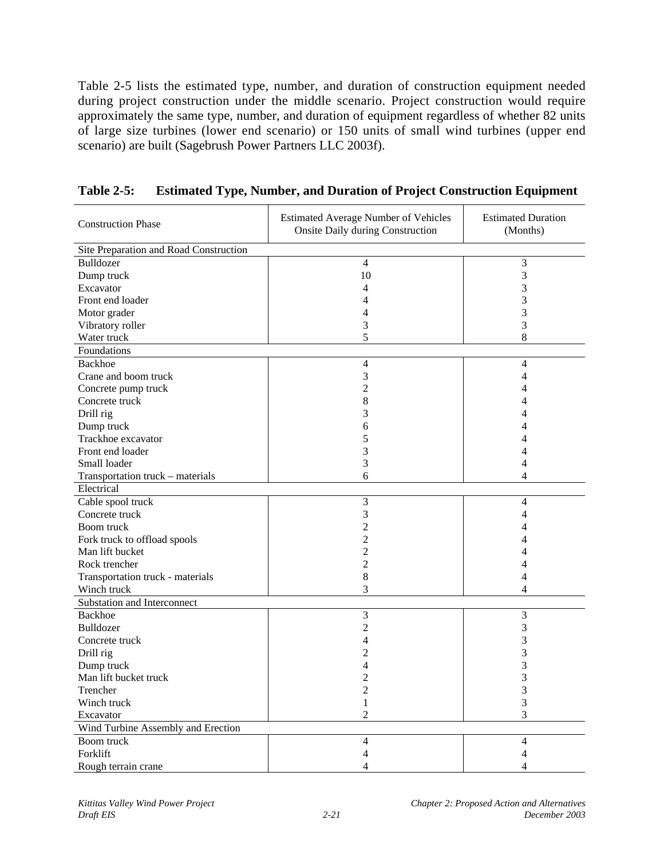Table 2-5 lists the estimated type, number, and duration of construction equipment needed during project construction under the middle scenario. Project construction would require approximately the same type, number, and duration of equipment regardless of whether 82 units of large size turbines (lower end scenario) or 150 units of small wind turbines (upper end scenario) are built (Sagebrush Power Partners LLC 2003f).

| <b>Construction Phase</b>              | <b>Estimated Average Number of Vehicles</b><br><b>Onsite Daily during Construction</b> | <b>Estimated Duration</b><br>(Months) |
|----------------------------------------|----------------------------------------------------------------------------------------|---------------------------------------|
| Site Preparation and Road Construction |                                                                                        |                                       |
| Bulldozer                              | $\overline{4}$                                                                         | 3                                     |
| Dump truck                             | 10                                                                                     | 3                                     |
| Excavator                              | 4                                                                                      | 3                                     |
| Front end loader                       |                                                                                        | 3                                     |
| Motor grader                           | 4                                                                                      | 3                                     |
| Vibratory roller                       | 3                                                                                      | 3                                     |
| Water truck                            | 5                                                                                      | 8                                     |
| Foundations                            |                                                                                        |                                       |
| Backhoe                                | $\overline{\mathcal{A}}$                                                               | 4                                     |
| Crane and boom truck                   | 3                                                                                      | 4                                     |
| Concrete pump truck                    | 2                                                                                      |                                       |
| Concrete truck                         | 8                                                                                      |                                       |
| Drill rig                              | 3                                                                                      |                                       |
| Dump truck                             | 6                                                                                      |                                       |
| Trackhoe excavator                     | 5                                                                                      |                                       |
| Front end loader                       | 3                                                                                      |                                       |
| Small loader                           | 3                                                                                      | 4                                     |
| Transportation truck - materials       | 6                                                                                      | 4                                     |
| Electrical                             |                                                                                        |                                       |
| Cable spool truck                      | 3                                                                                      | 4                                     |
| Concrete truck                         | 3                                                                                      | 4                                     |
| Boom truck                             | 2                                                                                      | 4                                     |
| Fork truck to offload spools           | 2                                                                                      |                                       |
| Man lift bucket                        | 2                                                                                      |                                       |
| Rock trencher                          | 2                                                                                      | Δ                                     |
| Transportation truck - materials       | 8                                                                                      | 4                                     |
| Winch truck                            | 3                                                                                      | 4                                     |
| Substation and Interconnect            |                                                                                        |                                       |
| Backhoe                                | 3                                                                                      | 3                                     |
| Bulldozer                              | 2                                                                                      | 3                                     |
| Concrete truck                         |                                                                                        | 3                                     |
| Drill rig                              |                                                                                        | 3                                     |
| Dump truck                             |                                                                                        | 3                                     |
| Man lift bucket truck                  |                                                                                        | 3                                     |
| Trencher                               |                                                                                        |                                       |
| Winch truck                            | 1                                                                                      | 3                                     |
| Excavator                              | $\overline{c}$                                                                         | 3                                     |
| Wind Turbine Assembly and Erection     |                                                                                        |                                       |
| Boom truck                             | 4                                                                                      | 4                                     |
| Forklift                               | 4                                                                                      |                                       |
| Rough terrain crane                    | 4                                                                                      | 4                                     |

**Table 2-5: Estimated Type, Number, and Duration of Project Construction Equipment**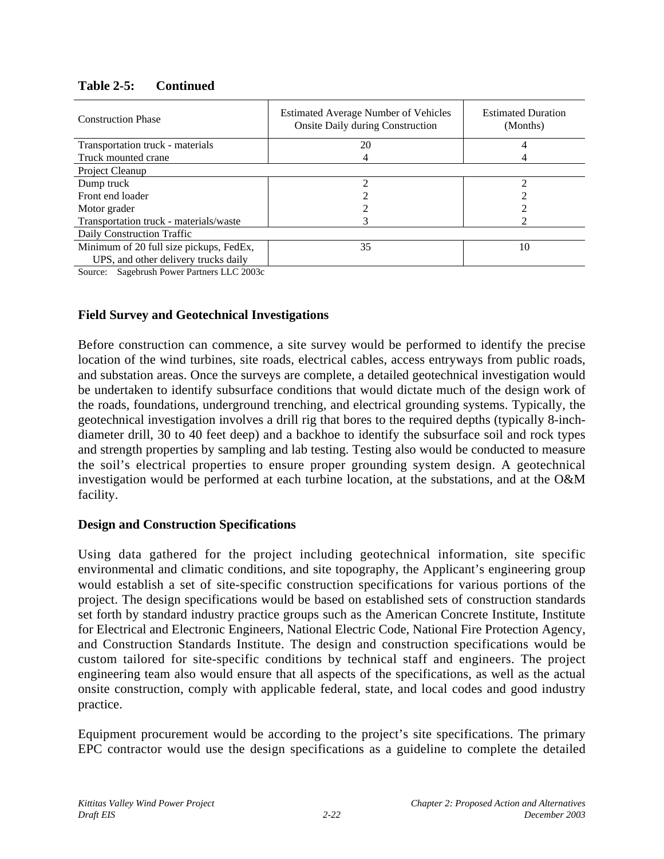| <b>Construction Phase</b>                  | <b>Estimated Average Number of Vehicles</b><br><b>Onsite Daily during Construction</b> | <b>Estimated Duration</b><br>(Months) |
|--------------------------------------------|----------------------------------------------------------------------------------------|---------------------------------------|
| Transportation truck - materials           | 20                                                                                     |                                       |
| Truck mounted crane                        | 4                                                                                      |                                       |
| Project Cleanup                            |                                                                                        |                                       |
| Dump truck                                 |                                                                                        | ↑                                     |
| Front end loader                           |                                                                                        |                                       |
| Motor grader                               |                                                                                        |                                       |
| Transportation truck - materials/waste     |                                                                                        |                                       |
| Daily Construction Traffic                 |                                                                                        |                                       |
| Minimum of 20 full size pickups, FedEx,    | 35                                                                                     | 10                                    |
| UPS, and other delivery trucks daily       |                                                                                        |                                       |
| $SOL$ Sagabrush Dower Dertners II $C2003c$ |                                                                                        |                                       |

## **Table 2-5: Continued**

Source: Sagebrush Power Partners LLC 2003c

#### **Field Survey and Geotechnical Investigations**

Before construction can commence, a site survey would be performed to identify the precise location of the wind turbines, site roads, electrical cables, access entryways from public roads, and substation areas. Once the surveys are complete, a detailed geotechnical investigation would be undertaken to identify subsurface conditions that would dictate much of the design work of the roads, foundations, underground trenching, and electrical grounding systems. Typically, the geotechnical investigation involves a drill rig that bores to the required depths (typically 8-inchdiameter drill, 30 to 40 feet deep) and a backhoe to identify the subsurface soil and rock types and strength properties by sampling and lab testing. Testing also would be conducted to measure the soil's electrical properties to ensure proper grounding system design. A geotechnical investigation would be performed at each turbine location, at the substations, and at the O&M facility.

#### **Design and Construction Specifications**

Using data gathered for the project including geotechnical information, site specific environmental and climatic conditions, and site topography, the Applicant's engineering group would establish a set of site-specific construction specifications for various portions of the project. The design specifications would be based on established sets of construction standards set forth by standard industry practice groups such as the American Concrete Institute, Institute for Electrical and Electronic Engineers, National Electric Code, National Fire Protection Agency, and Construction Standards Institute. The design and construction specifications would be custom tailored for site-specific conditions by technical staff and engineers. The project engineering team also would ensure that all aspects of the specifications, as well as the actual onsite construction, comply with applicable federal, state, and local codes and good industry practice.

Equipment procurement would be according to the project's site specifications. The primary EPC contractor would use the design specifications as a guideline to complete the detailed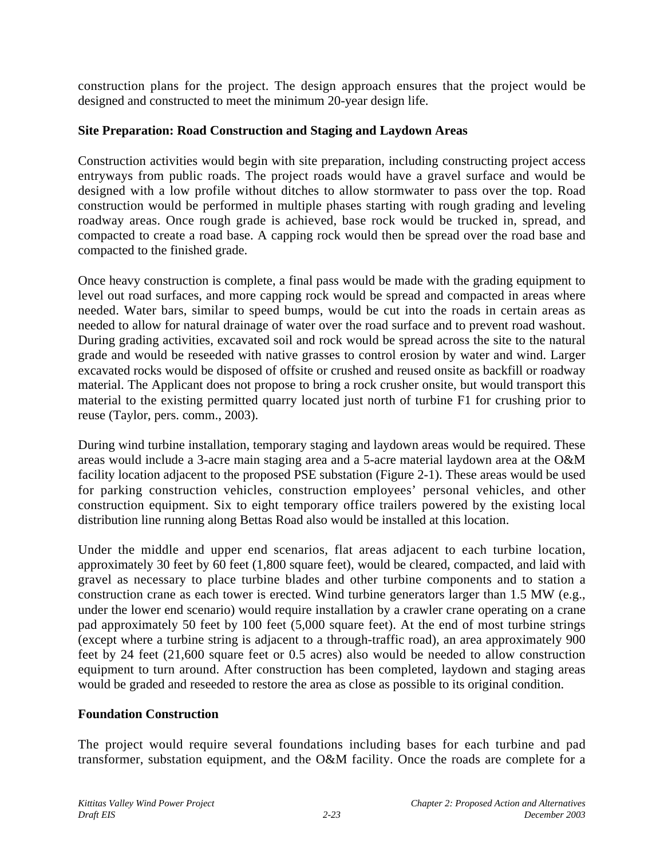construction plans for the project. The design approach ensures that the project would be designed and constructed to meet the minimum 20-year design life.

#### **Site Preparation: Road Construction and Staging and Laydown Areas**

Construction activities would begin with site preparation, including constructing project access entryways from public roads. The project roads would have a gravel surface and would be designed with a low profile without ditches to allow stormwater to pass over the top. Road construction would be performed in multiple phases starting with rough grading and leveling roadway areas. Once rough grade is achieved, base rock would be trucked in, spread, and compacted to create a road base. A capping rock would then be spread over the road base and compacted to the finished grade.

Once heavy construction is complete, a final pass would be made with the grading equipment to level out road surfaces, and more capping rock would be spread and compacted in areas where needed. Water bars, similar to speed bumps, would be cut into the roads in certain areas as needed to allow for natural drainage of water over the road surface and to prevent road washout. During grading activities, excavated soil and rock would be spread across the site to the natural grade and would be reseeded with native grasses to control erosion by water and wind. Larger excavated rocks would be disposed of offsite or crushed and reused onsite as backfill or roadway material. The Applicant does not propose to bring a rock crusher onsite, but would transport this material to the existing permitted quarry located just north of turbine F1 for crushing prior to reuse (Taylor, pers. comm., 2003).

During wind turbine installation, temporary staging and laydown areas would be required. These areas would include a 3-acre main staging area and a 5-acre material laydown area at the O&M facility location adjacent to the proposed PSE substation (Figure 2-1). These areas would be used for parking construction vehicles, construction employees' personal vehicles, and other construction equipment. Six to eight temporary office trailers powered by the existing local distribution line running along Bettas Road also would be installed at this location.

Under the middle and upper end scenarios, flat areas adjacent to each turbine location, approximately 30 feet by 60 feet (1,800 square feet), would be cleared, compacted, and laid with gravel as necessary to place turbine blades and other turbine components and to station a construction crane as each tower is erected. Wind turbine generators larger than 1.5 MW (e.g., under the lower end scenario) would require installation by a crawler crane operating on a crane pad approximately 50 feet by 100 feet (5,000 square feet). At the end of most turbine strings (except where a turbine string is adjacent to a through-traffic road), an area approximately 900 feet by 24 feet (21,600 square feet or 0.5 acres) also would be needed to allow construction equipment to turn around. After construction has been completed, laydown and staging areas would be graded and reseeded to restore the area as close as possible to its original condition.

### **Foundation Construction**

The project would require several foundations including bases for each turbine and pad transformer, substation equipment, and the O&M facility. Once the roads are complete for a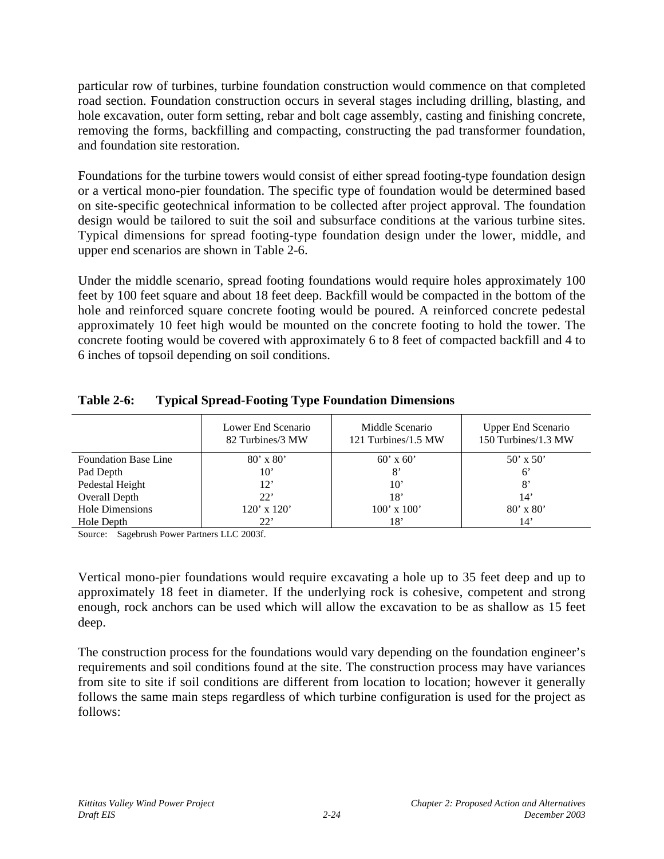particular row of turbines, turbine foundation construction would commence on that completed road section. Foundation construction occurs in several stages including drilling, blasting, and hole excavation, outer form setting, rebar and bolt cage assembly, casting and finishing concrete, removing the forms, backfilling and compacting, constructing the pad transformer foundation, and foundation site restoration.

Foundations for the turbine towers would consist of either spread footing-type foundation design or a vertical mono-pier foundation. The specific type of foundation would be determined based on site-specific geotechnical information to be collected after project approval. The foundation design would be tailored to suit the soil and subsurface conditions at the various turbine sites. Typical dimensions for spread footing-type foundation design under the lower, middle, and upper end scenarios are shown in Table 2-6.

Under the middle scenario, spread footing foundations would require holes approximately 100 feet by 100 feet square and about 18 feet deep. Backfill would be compacted in the bottom of the hole and reinforced square concrete footing would be poured. A reinforced concrete pedestal approximately 10 feet high would be mounted on the concrete footing to hold the tower. The concrete footing would be covered with approximately 6 to 8 feet of compacted backfill and 4 to 6 inches of topsoil depending on soil conditions.

|                             | Lower End Scenario<br>82 Turbines/3 MW | Middle Scenario<br>121 Turbines/1.5 MW | <b>Upper End Scenario</b><br>150 Turbines/1.3 MW |
|-----------------------------|----------------------------------------|----------------------------------------|--------------------------------------------------|
| <b>Foundation Base Line</b> | $80' \times 80'$                       | $60'$ x $60'$                          | $50' \times 50'$                                 |
| Pad Depth                   | 10'                                    | 8'                                     | $6^{\circ}$                                      |
| Pedestal Height             | $12^{\circ}$                           | $10^{\circ}$                           | 8'                                               |
| Overall Depth               | 22                                     | 18'                                    | 14'                                              |
| <b>Hole Dimensions</b>      | $120'$ x $120'$                        | $100'$ x $100'$                        | $80'$ x $80'$                                    |
| Hole Depth                  | 22'                                    | 18'                                    | 14'                                              |

## **Table 2-6: Typical Spread-Footing Type Foundation Dimensions**

Source: Sagebrush Power Partners LLC 2003f.

Vertical mono-pier foundations would require excavating a hole up to 35 feet deep and up to approximately 18 feet in diameter. If the underlying rock is cohesive, competent and strong enough, rock anchors can be used which will allow the excavation to be as shallow as 15 feet deep.

The construction process for the foundations would vary depending on the foundation engineer's requirements and soil conditions found at the site. The construction process may have variances from site to site if soil conditions are different from location to location; however it generally follows the same main steps regardless of which turbine configuration is used for the project as follows: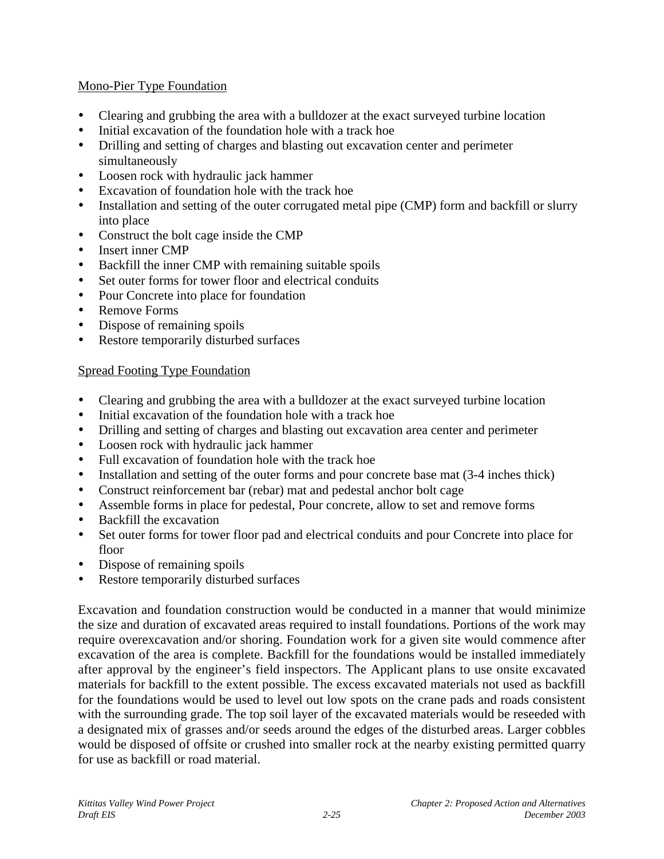### Mono-Pier Type Foundation

- Clearing and grubbing the area with a bulldozer at the exact surveyed turbine location
- Initial excavation of the foundation hole with a track hoe
- Drilling and setting of charges and blasting out excavation center and perimeter simultaneously
- Loosen rock with hydraulic jack hammer
- Excavation of foundation hole with the track hoe
- Installation and setting of the outer corrugated metal pipe (CMP) form and backfill or slurry into place
- Construct the bolt cage inside the CMP
- Insert inner CMP<br>• Backfill the inner
- Backfill the inner CMP with remaining suitable spoils
- Set outer forms for tower floor and electrical conduits
- Pour Concrete into place for foundation
- Remove Forms
- Dispose of remaining spoils
- Restore temporarily disturbed surfaces

## Spread Footing Type Foundation

- Clearing and grubbing the area with a bulldozer at the exact surveyed turbine location
- Initial excavation of the foundation hole with a track hoe
- Drilling and setting of charges and blasting out excavation area center and perimeter
- Loosen rock with hydraulic jack hammer
- Full excavation of foundation hole with the track hoe
- Installation and setting of the outer forms and pour concrete base mat  $(3-4)$  inches thick)
- Construct reinforcement bar (rebar) mat and pedestal anchor bolt cage
- Assemble forms in place for pedestal, Pour concrete, allow to set and remove forms
- Backfill the excavation
- Set outer forms for tower floor pad and electrical conduits and pour Concrete into place for floor
- Dispose of remaining spoils
- Restore temporarily disturbed surfaces

Excavation and foundation construction would be conducted in a manner that would minimize the size and duration of excavated areas required to install foundations. Portions of the work may require overexcavation and/or shoring. Foundation work for a given site would commence after excavation of the area is complete. Backfill for the foundations would be installed immediately after approval by the engineer's field inspectors. The Applicant plans to use onsite excavated materials for backfill to the extent possible. The excess excavated materials not used as backfill for the foundations would be used to level out low spots on the crane pads and roads consistent with the surrounding grade. The top soil layer of the excavated materials would be reseeded with a designated mix of grasses and/or seeds around the edges of the disturbed areas. Larger cobbles would be disposed of offsite or crushed into smaller rock at the nearby existing permitted quarry for use as backfill or road material.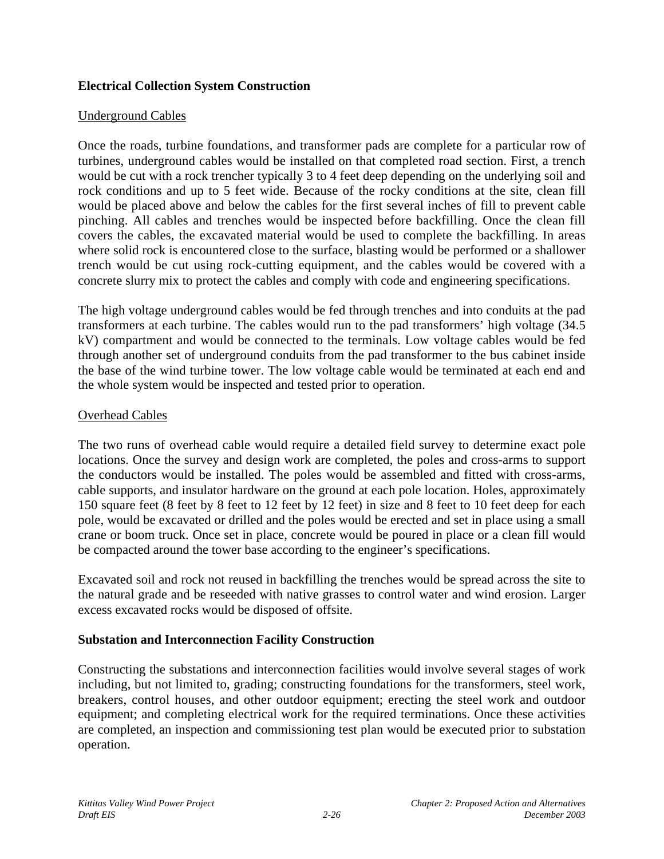## **Electrical Collection System Construction**

#### Underground Cables

Once the roads, turbine foundations, and transformer pads are complete for a particular row of turbines, underground cables would be installed on that completed road section. First, a trench would be cut with a rock trencher typically 3 to 4 feet deep depending on the underlying soil and rock conditions and up to 5 feet wide. Because of the rocky conditions at the site, clean fill would be placed above and below the cables for the first several inches of fill to prevent cable pinching. All cables and trenches would be inspected before backfilling. Once the clean fill covers the cables, the excavated material would be used to complete the backfilling. In areas where solid rock is encountered close to the surface, blasting would be performed or a shallower trench would be cut using rock-cutting equipment, and the cables would be covered with a concrete slurry mix to protect the cables and comply with code and engineering specifications.

The high voltage underground cables would be fed through trenches and into conduits at the pad transformers at each turbine. The cables would run to the pad transformers' high voltage (34.5 kV) compartment and would be connected to the terminals. Low voltage cables would be fed through another set of underground conduits from the pad transformer to the bus cabinet inside the base of the wind turbine tower. The low voltage cable would be terminated at each end and the whole system would be inspected and tested prior to operation.

#### Overhead Cables

The two runs of overhead cable would require a detailed field survey to determine exact pole locations. Once the survey and design work are completed, the poles and cross-arms to support the conductors would be installed. The poles would be assembled and fitted with cross-arms, cable supports, and insulator hardware on the ground at each pole location. Holes, approximately 150 square feet (8 feet by 8 feet to 12 feet by 12 feet) in size and 8 feet to 10 feet deep for each pole, would be excavated or drilled and the poles would be erected and set in place using a small crane or boom truck. Once set in place, concrete would be poured in place or a clean fill would be compacted around the tower base according to the engineer's specifications.

Excavated soil and rock not reused in backfilling the trenches would be spread across the site to the natural grade and be reseeded with native grasses to control water and wind erosion. Larger excess excavated rocks would be disposed of offsite.

### **Substation and Interconnection Facility Construction**

Constructing the substations and interconnection facilities would involve several stages of work including, but not limited to, grading; constructing foundations for the transformers, steel work, breakers, control houses, and other outdoor equipment; erecting the steel work and outdoor equipment; and completing electrical work for the required terminations. Once these activities are completed, an inspection and commissioning test plan would be executed prior to substation operation.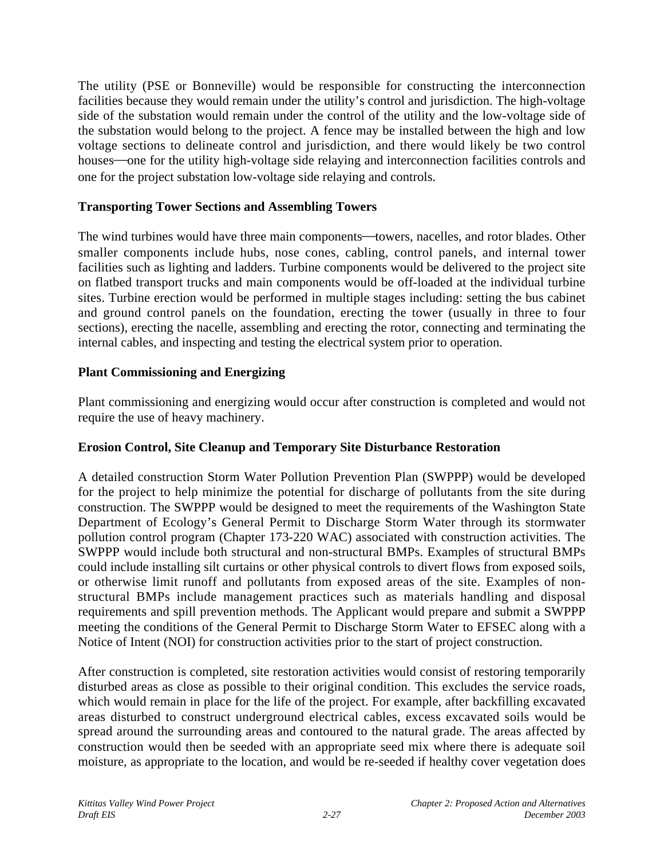The utility (PSE or Bonneville) would be responsible for constructing the interconnection facilities because they would remain under the utility's control and jurisdiction. The high-voltage side of the substation would remain under the control of the utility and the low-voltage side of the substation would belong to the project. A fence may be installed between the high and low voltage sections to delineate control and jurisdiction, and there would likely be two control houses—one for the utility high-voltage side relaying and interconnection facilities controls and one for the project substation low-voltage side relaying and controls.

### **Transporting Tower Sections and Assembling Towers**

The wind turbines would have three main components—towers, nacelles, and rotor blades. Other smaller components include hubs, nose cones, cabling, control panels, and internal tower facilities such as lighting and ladders. Turbine components would be delivered to the project site on flatbed transport trucks and main components would be off-loaded at the individual turbine sites. Turbine erection would be performed in multiple stages including: setting the bus cabinet and ground control panels on the foundation, erecting the tower (usually in three to four sections), erecting the nacelle, assembling and erecting the rotor, connecting and terminating the internal cables, and inspecting and testing the electrical system prior to operation.

## **Plant Commissioning and Energizing**

Plant commissioning and energizing would occur after construction is completed and would not require the use of heavy machinery.

### **Erosion Control, Site Cleanup and Temporary Site Disturbance Restoration**

A detailed construction Storm Water Pollution Prevention Plan (SWPPP) would be developed for the project to help minimize the potential for discharge of pollutants from the site during construction. The SWPPP would be designed to meet the requirements of the Washington State Department of Ecology's General Permit to Discharge Storm Water through its stormwater pollution control program (Chapter 173-220 WAC) associated with construction activities. The SWPPP would include both structural and non-structural BMPs. Examples of structural BMPs could include installing silt curtains or other physical controls to divert flows from exposed soils, or otherwise limit runoff and pollutants from exposed areas of the site. Examples of nonstructural BMPs include management practices such as materials handling and disposal requirements and spill prevention methods. The Applicant would prepare and submit a SWPPP meeting the conditions of the General Permit to Discharge Storm Water to EFSEC along with a Notice of Intent (NOI) for construction activities prior to the start of project construction.

After construction is completed, site restoration activities would consist of restoring temporarily disturbed areas as close as possible to their original condition. This excludes the service roads, which would remain in place for the life of the project. For example, after backfilling excavated areas disturbed to construct underground electrical cables, excess excavated soils would be spread around the surrounding areas and contoured to the natural grade. The areas affected by construction would then be seeded with an appropriate seed mix where there is adequate soil moisture, as appropriate to the location, and would be re-seeded if healthy cover vegetation does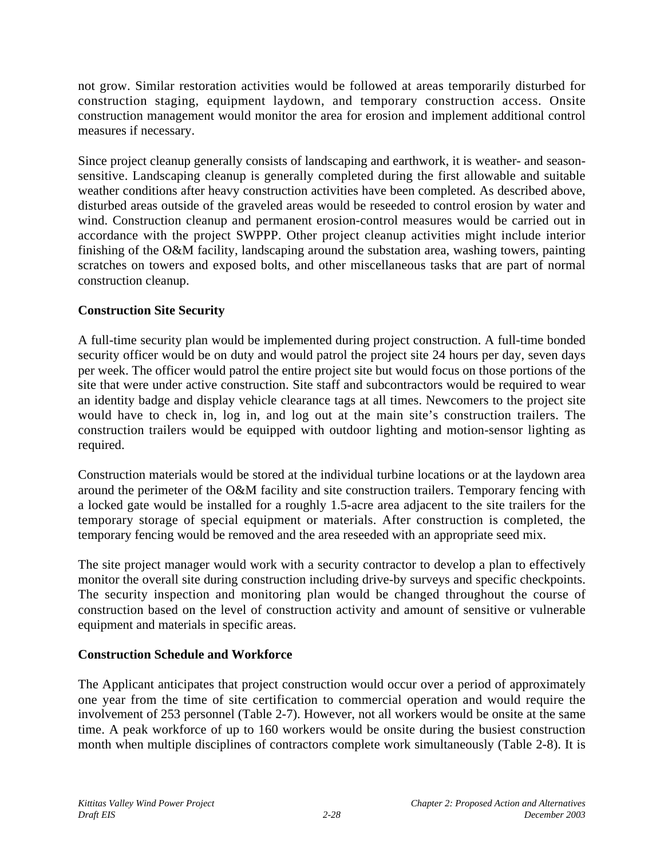not grow. Similar restoration activities would be followed at areas temporarily disturbed for construction staging, equipment laydown, and temporary construction access. Onsite construction management would monitor the area for erosion and implement additional control measures if necessary.

Since project cleanup generally consists of landscaping and earthwork, it is weather- and seasonsensitive. Landscaping cleanup is generally completed during the first allowable and suitable weather conditions after heavy construction activities have been completed. As described above, disturbed areas outside of the graveled areas would be reseeded to control erosion by water and wind. Construction cleanup and permanent erosion-control measures would be carried out in accordance with the project SWPPP. Other project cleanup activities might include interior finishing of the O&M facility, landscaping around the substation area, washing towers, painting scratches on towers and exposed bolts, and other miscellaneous tasks that are part of normal construction cleanup.

## **Construction Site Security**

A full-time security plan would be implemented during project construction. A full-time bonded security officer would be on duty and would patrol the project site 24 hours per day, seven days per week. The officer would patrol the entire project site but would focus on those portions of the site that were under active construction. Site staff and subcontractors would be required to wear an identity badge and display vehicle clearance tags at all times. Newcomers to the project site would have to check in, log in, and log out at the main site's construction trailers. The construction trailers would be equipped with outdoor lighting and motion-sensor lighting as required.

Construction materials would be stored at the individual turbine locations or at the laydown area around the perimeter of the O&M facility and site construction trailers. Temporary fencing with a locked gate would be installed for a roughly 1.5-acre area adjacent to the site trailers for the temporary storage of special equipment or materials. After construction is completed, the temporary fencing would be removed and the area reseeded with an appropriate seed mix.

The site project manager would work with a security contractor to develop a plan to effectively monitor the overall site during construction including drive-by surveys and specific checkpoints. The security inspection and monitoring plan would be changed throughout the course of construction based on the level of construction activity and amount of sensitive or vulnerable equipment and materials in specific areas.

### **Construction Schedule and Workforce**

The Applicant anticipates that project construction would occur over a period of approximately one year from the time of site certification to commercial operation and would require the involvement of 253 personnel (Table 2-7). However, not all workers would be onsite at the same time. A peak workforce of up to 160 workers would be onsite during the busiest construction month when multiple disciplines of contractors complete work simultaneously (Table 2-8). It is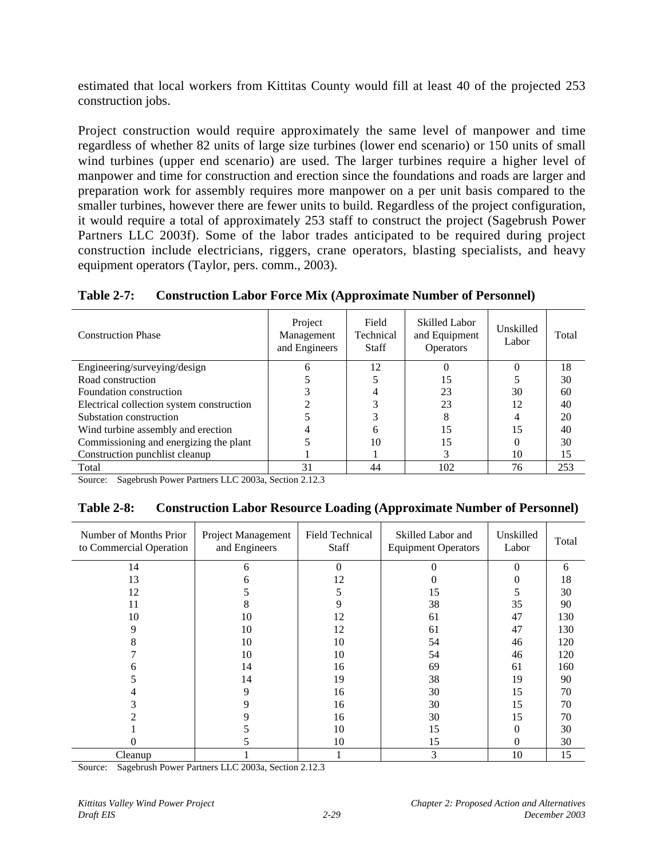estimated that local workers from Kittitas County would fill at least 40 of the projected 253 construction jobs.

Project construction would require approximately the same level of manpower and time regardless of whether 82 units of large size turbines (lower end scenario) or 150 units of small wind turbines (upper end scenario) are used. The larger turbines require a higher level of manpower and time for construction and erection since the foundations and roads are larger and preparation work for assembly requires more manpower on a per unit basis compared to the smaller turbines, however there are fewer units to build. Regardless of the project configuration, it would require a total of approximately 253 staff to construct the project (Sagebrush Power Partners LLC 2003f). Some of the labor trades anticipated to be required during project construction include electricians, riggers, crane operators, blasting specialists, and heavy equipment operators (Taylor, pers. comm., 2003).

### **Table 2-7: Construction Labor Force Mix (Approximate Number of Personnel)**

| <b>Construction Phase</b>                 | Project<br>Management<br>and Engineers | Field<br>Technical<br><b>Staff</b> | <b>Skilled Labor</b><br>and Equipment<br><b>Operators</b> | Unskilled<br>Labor | Total |
|-------------------------------------------|----------------------------------------|------------------------------------|-----------------------------------------------------------|--------------------|-------|
| Engineering/surveying/design              | h                                      | 12                                 |                                                           |                    | 18    |
| Road construction                         |                                        |                                    | 15                                                        |                    | 30    |
| Foundation construction                   |                                        |                                    | 23                                                        | 30                 | 60    |
| Electrical collection system construction |                                        |                                    | 23                                                        | 12                 | 40    |
| Substation construction                   |                                        |                                    |                                                           |                    | 20    |
| Wind turbine assembly and erection        |                                        | h                                  | 15                                                        | 15                 | 40    |
| Commissioning and energizing the plant    |                                        | 10                                 | 15                                                        |                    | 30    |
| Construction punchlist cleanup            |                                        |                                    |                                                           | 10                 | 15    |
| Total                                     | 31                                     | 44                                 | 102                                                       | 76                 | 253   |

Source: Sagebrush Power Partners LLC 2003a, Section 2.12.3

| <b>Table 2-8:</b> | <b>Construction Labor Resource Loading (Approximate Number of Personnel)</b> |
|-------------------|------------------------------------------------------------------------------|
|-------------------|------------------------------------------------------------------------------|

| Number of Months Prior<br>to Commercial Operation | Project Management<br>and Engineers | Field Technical<br><b>Staff</b> | Skilled Labor and<br><b>Equipment Operators</b> | Unskilled<br>Labor | Total |
|---------------------------------------------------|-------------------------------------|---------------------------------|-------------------------------------------------|--------------------|-------|
| 14                                                | 6                                   | $\Omega$                        | 0                                               | $\Omega$           | 6     |
| 13                                                | 6                                   | 12                              |                                                 | 0                  | 18    |
| 12                                                |                                     | 5                               | 15                                              | 5                  | 30    |
| 11                                                | 8                                   | 9                               | 38                                              | 35                 | 90    |
| 10                                                | 10                                  | 12                              | 61                                              | 47                 | 130   |
| 9                                                 | 10                                  | 12                              | 61                                              | 47                 | 130   |
| 8                                                 | 10                                  | 10                              | 54                                              | 46                 | 120   |
|                                                   | 10                                  | 10                              | 54                                              | 46                 | 120   |
| n                                                 | 14                                  | 16                              | 69                                              | 61                 | 160   |
|                                                   | 14                                  | 19                              | 38                                              | 19                 | 90    |
|                                                   | 9                                   | 16                              | 30                                              | 15                 | 70    |
|                                                   |                                     | 16                              | 30                                              | 15                 | 70    |
|                                                   |                                     | 16                              | 30                                              | 15                 | 70    |
|                                                   |                                     | 10                              | 15                                              | 0                  | 30    |
|                                                   |                                     | 10                              | 15                                              | 0                  | 30    |
| Cleanup                                           |                                     |                                 | 3                                               | 10                 | 15    |

Source: Sagebrush Power Partners LLC 2003a, Section 2.12.3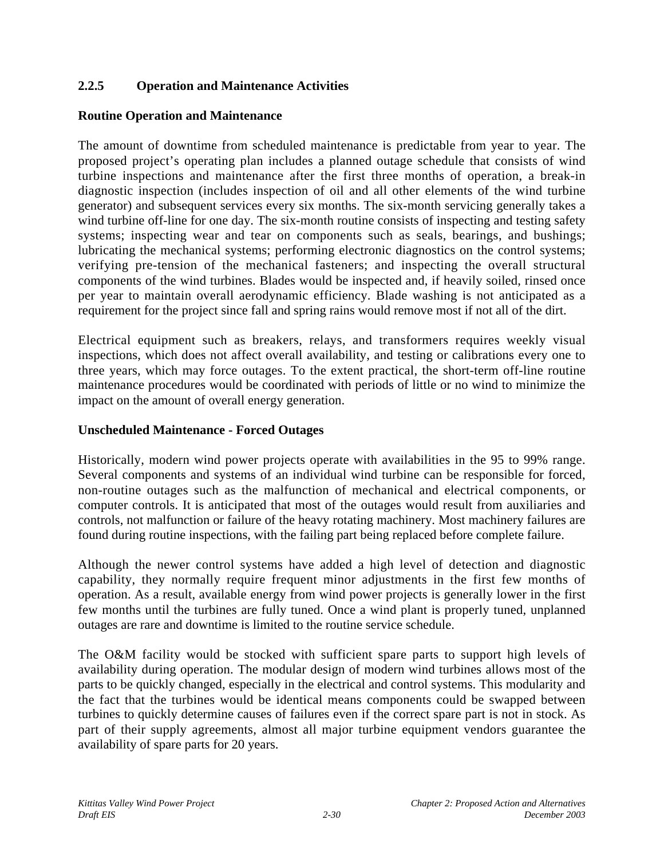## **2.2.5 Operation and Maintenance Activities**

#### **Routine Operation and Maintenance**

The amount of downtime from scheduled maintenance is predictable from year to year. The proposed project's operating plan includes a planned outage schedule that consists of wind turbine inspections and maintenance after the first three months of operation, a break-in diagnostic inspection (includes inspection of oil and all other elements of the wind turbine generator) and subsequent services every six months. The six-month servicing generally takes a wind turbine off-line for one day. The six-month routine consists of inspecting and testing safety systems; inspecting wear and tear on components such as seals, bearings, and bushings; lubricating the mechanical systems; performing electronic diagnostics on the control systems; verifying pre-tension of the mechanical fasteners; and inspecting the overall structural components of the wind turbines. Blades would be inspected and, if heavily soiled, rinsed once per year to maintain overall aerodynamic efficiency. Blade washing is not anticipated as a requirement for the project since fall and spring rains would remove most if not all of the dirt.

Electrical equipment such as breakers, relays, and transformers requires weekly visual inspections, which does not affect overall availability, and testing or calibrations every one to three years, which may force outages. To the extent practical, the short-term off-line routine maintenance procedures would be coordinated with periods of little or no wind to minimize the impact on the amount of overall energy generation.

#### **Unscheduled Maintenance - Forced Outages**

Historically, modern wind power projects operate with availabilities in the 95 to 99% range. Several components and systems of an individual wind turbine can be responsible for forced, non-routine outages such as the malfunction of mechanical and electrical components, or computer controls. It is anticipated that most of the outages would result from auxiliaries and controls, not malfunction or failure of the heavy rotating machinery. Most machinery failures are found during routine inspections, with the failing part being replaced before complete failure.

Although the newer control systems have added a high level of detection and diagnostic capability, they normally require frequent minor adjustments in the first few months of operation. As a result, available energy from wind power projects is generally lower in the first few months until the turbines are fully tuned. Once a wind plant is properly tuned, unplanned outages are rare and downtime is limited to the routine service schedule.

The O&M facility would be stocked with sufficient spare parts to support high levels of availability during operation. The modular design of modern wind turbines allows most of the parts to be quickly changed, especially in the electrical and control systems. This modularity and the fact that the turbines would be identical means components could be swapped between turbines to quickly determine causes of failures even if the correct spare part is not in stock. As part of their supply agreements, almost all major turbine equipment vendors guarantee the availability of spare parts for 20 years.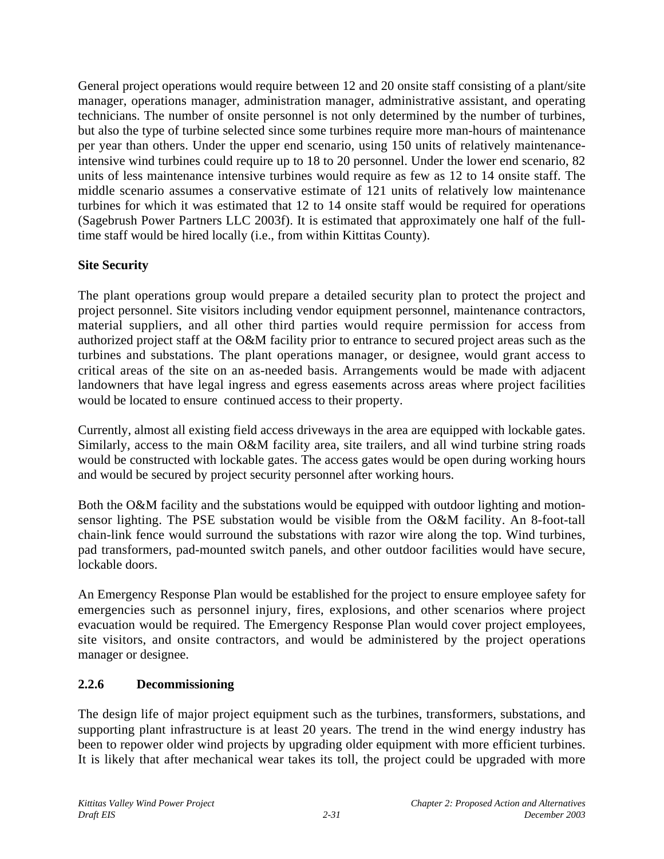General project operations would require between 12 and 20 onsite staff consisting of a plant/site manager, operations manager, administration manager, administrative assistant, and operating technicians. The number of onsite personnel is not only determined by the number of turbines, but also the type of turbine selected since some turbines require more man-hours of maintenance per year than others. Under the upper end scenario, using 150 units of relatively maintenanceintensive wind turbines could require up to 18 to 20 personnel. Under the lower end scenario, 82 units of less maintenance intensive turbines would require as few as 12 to 14 onsite staff. The middle scenario assumes a conservative estimate of 121 units of relatively low maintenance turbines for which it was estimated that 12 to 14 onsite staff would be required for operations (Sagebrush Power Partners LLC 2003f). It is estimated that approximately one half of the fulltime staff would be hired locally (i.e., from within Kittitas County).

## **Site Security**

The plant operations group would prepare a detailed security plan to protect the project and project personnel. Site visitors including vendor equipment personnel, maintenance contractors, material suppliers, and all other third parties would require permission for access from authorized project staff at the O&M facility prior to entrance to secured project areas such as the turbines and substations. The plant operations manager, or designee, would grant access to critical areas of the site on an as-needed basis. Arrangements would be made with adjacent landowners that have legal ingress and egress easements across areas where project facilities would be located to ensure continued access to their property.

Currently, almost all existing field access driveways in the area are equipped with lockable gates. Similarly, access to the main O&M facility area, site trailers, and all wind turbine string roads would be constructed with lockable gates. The access gates would be open during working hours and would be secured by project security personnel after working hours.

Both the O&M facility and the substations would be equipped with outdoor lighting and motionsensor lighting. The PSE substation would be visible from the O&M facility. An 8-foot-tall chain-link fence would surround the substations with razor wire along the top. Wind turbines, pad transformers, pad-mounted switch panels, and other outdoor facilities would have secure, lockable doors.

An Emergency Response Plan would be established for the project to ensure employee safety for emergencies such as personnel injury, fires, explosions, and other scenarios where project evacuation would be required. The Emergency Response Plan would cover project employees, site visitors, and onsite contractors, and would be administered by the project operations manager or designee.

## **2.2.6 Decommissioning**

The design life of major project equipment such as the turbines, transformers, substations, and supporting plant infrastructure is at least 20 years. The trend in the wind energy industry has been to repower older wind projects by upgrading older equipment with more efficient turbines. It is likely that after mechanical wear takes its toll, the project could be upgraded with more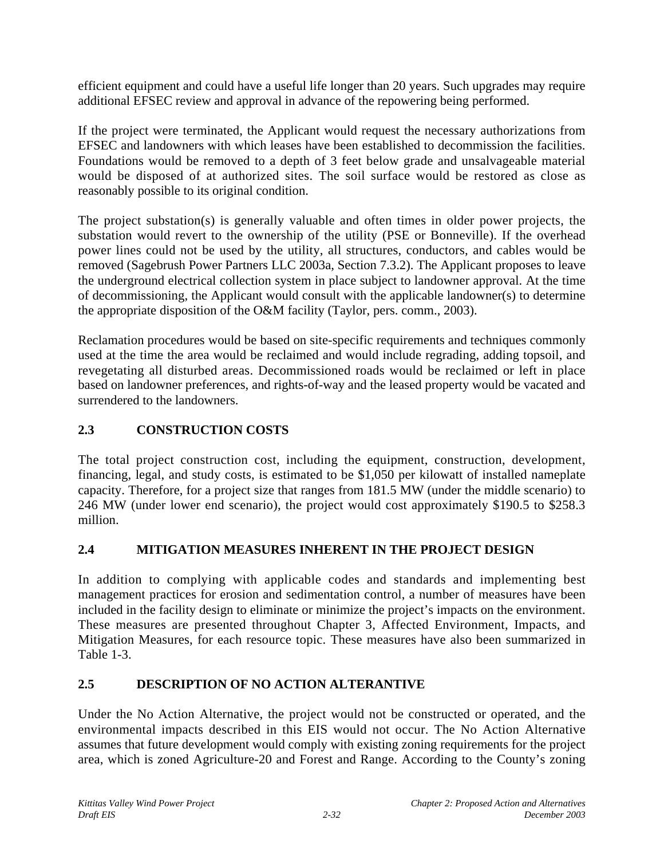efficient equipment and could have a useful life longer than 20 years. Such upgrades may require additional EFSEC review and approval in advance of the repowering being performed.

If the project were terminated, the Applicant would request the necessary authorizations from EFSEC and landowners with which leases have been established to decommission the facilities. Foundations would be removed to a depth of 3 feet below grade and unsalvageable material would be disposed of at authorized sites. The soil surface would be restored as close as reasonably possible to its original condition.

The project substation(s) is generally valuable and often times in older power projects, the substation would revert to the ownership of the utility (PSE or Bonneville). If the overhead power lines could not be used by the utility, all structures, conductors, and cables would be removed (Sagebrush Power Partners LLC 2003a, Section 7.3.2). The Applicant proposes to leave the underground electrical collection system in place subject to landowner approval. At the time of decommissioning, the Applicant would consult with the applicable landowner(s) to determine the appropriate disposition of the O&M facility (Taylor, pers. comm., 2003).

Reclamation procedures would be based on site-specific requirements and techniques commonly used at the time the area would be reclaimed and would include regrading, adding topsoil, and revegetating all disturbed areas. Decommissioned roads would be reclaimed or left in place based on landowner preferences, and rights-of-way and the leased property would be vacated and surrendered to the landowners.

# **2.3 CONSTRUCTION COSTS**

The total project construction cost, including the equipment, construction, development, financing, legal, and study costs, is estimated to be \$1,050 per kilowatt of installed nameplate capacity. Therefore, for a project size that ranges from 181.5 MW (under the middle scenario) to 246 MW (under lower end scenario), the project would cost approximately \$190.5 to \$258.3 million.

# **2.4 MITIGATION MEASURES INHERENT IN THE PROJECT DESIGN**

In addition to complying with applicable codes and standards and implementing best management practices for erosion and sedimentation control, a number of measures have been included in the facility design to eliminate or minimize the project's impacts on the environment. These measures are presented throughout Chapter 3, Affected Environment, Impacts, and Mitigation Measures, for each resource topic. These measures have also been summarized in Table 1-3.

# **2.5 DESCRIPTION OF NO ACTION ALTERANTIVE**

Under the No Action Alternative, the project would not be constructed or operated, and the environmental impacts described in this EIS would not occur. The No Action Alternative assumes that future development would comply with existing zoning requirements for the project area, which is zoned Agriculture-20 and Forest and Range. According to the County's zoning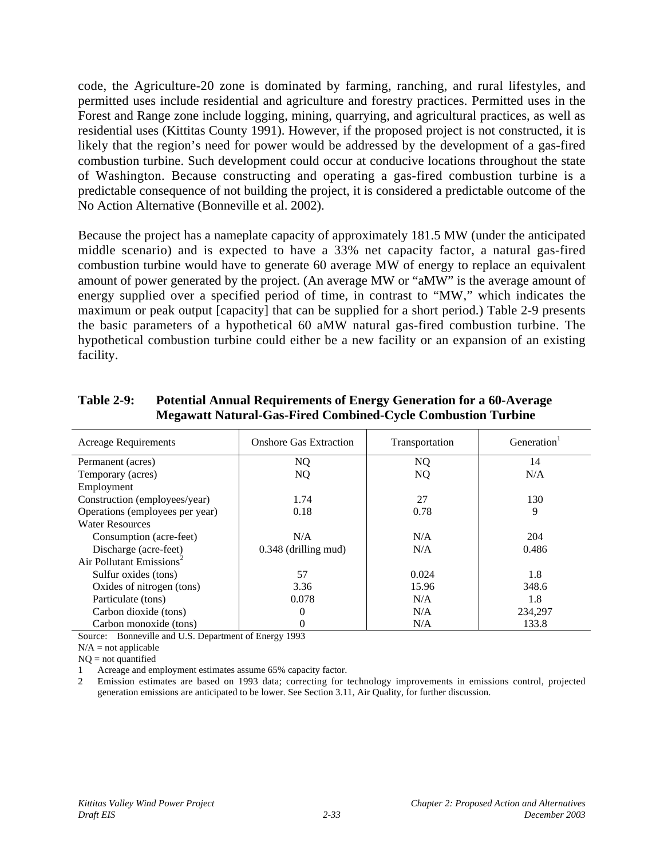code, the Agriculture-20 zone is dominated by farming, ranching, and rural lifestyles, and permitted uses include residential and agriculture and forestry practices. Permitted uses in the Forest and Range zone include logging, mining, quarrying, and agricultural practices, as well as residential uses (Kittitas County 1991). However, if the proposed project is not constructed, it is likely that the region's need for power would be addressed by the development of a gas-fired combustion turbine. Such development could occur at conducive locations throughout the state of Washington. Because constructing and operating a gas-fired combustion turbine is a predictable consequence of not building the project, it is considered a predictable outcome of the No Action Alternative (Bonneville et al. 2002).

Because the project has a nameplate capacity of approximately 181.5 MW (under the anticipated middle scenario) and is expected to have a 33% net capacity factor, a natural gas-fired combustion turbine would have to generate 60 average MW of energy to replace an equivalent amount of power generated by the project. (An average MW or "aMW" is the average amount of energy supplied over a specified period of time, in contrast to "MW," which indicates the maximum or peak output [capacity] that can be supplied for a short period.) Table 2-9 presents the basic parameters of a hypothetical 60 aMW natural gas-fired combustion turbine. The hypothetical combustion turbine could either be a new facility or an expansion of an existing facility.

| <b>Acreage Requirements</b>          | <b>Onshore Gas Extraction</b> | Transportation | Generation <sup>1</sup> |
|--------------------------------------|-------------------------------|----------------|-------------------------|
| Permanent (acres)                    | NQ.                           | <b>NQ</b>      | 14                      |
| Temporary (acres)                    | NQ.                           | <b>NQ</b>      | N/A                     |
| Employment                           |                               |                |                         |
| Construction (employees/year)        | 1.74                          | 27             | 130                     |
| Operations (employees per year)      | 0.18                          | 0.78           | 9                       |
| <b>Water Resources</b>               |                               |                |                         |
| Consumption (acre-feet)              | N/A                           | N/A            | 204                     |
| Discharge (acre-feet)                | $0.348$ (drilling mud)        | N/A            | 0.486                   |
| Air Pollutant Emissions <sup>2</sup> |                               |                |                         |
| Sulfur oxides (tons)                 | 57                            | 0.024          | 1.8                     |
| Oxides of nitrogen (tons)            | 3.36                          | 15.96          | 348.6                   |
| Particulate (tons)                   | 0.078                         | N/A            | 1.8                     |
| Carbon dioxide (tons)                | $\Omega$                      | N/A            | 234,297                 |
| Carbon monoxide (tons)               |                               | N/A            | 133.8                   |

#### **Table 2-9: Potential Annual Requirements of Energy Generation for a 60-Average Megawatt Natural-Gas-Fired Combined-Cycle Combustion Turbine**

Source: Bonneville and U.S. Department of Energy 1993

 $N/A$  = not applicable

 $NO = not$  quantified

Acreage and employment estimates assume 65% capacity factor.

2 Emission estimates are based on 1993 data; correcting for technology improvements in emissions control, projected generation emissions are anticipated to be lower. See Section 3.11, Air Quality, for further discussion.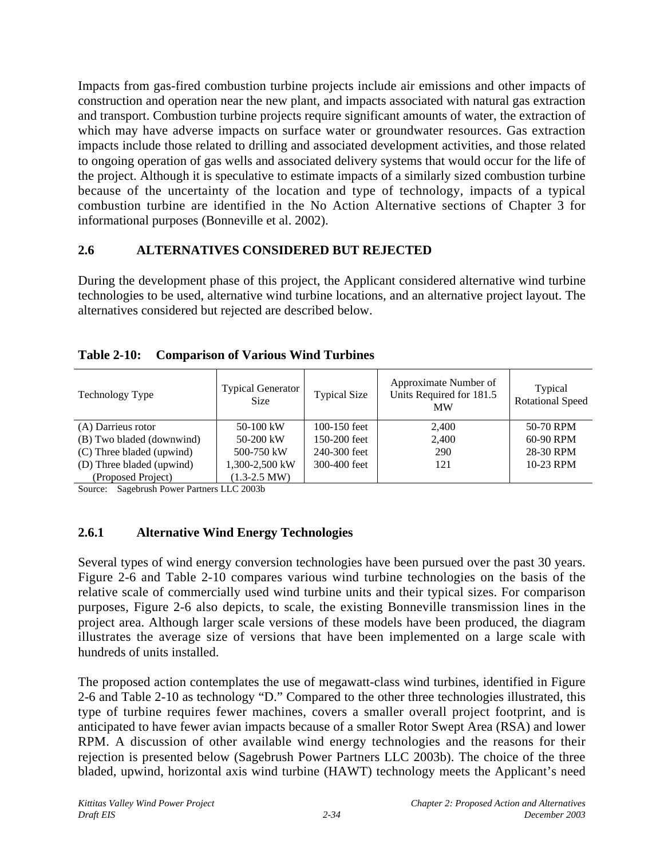Impacts from gas-fired combustion turbine projects include air emissions and other impacts of construction and operation near the new plant, and impacts associated with natural gas extraction and transport. Combustion turbine projects require significant amounts of water, the extraction of which may have adverse impacts on surface water or groundwater resources. Gas extraction impacts include those related to drilling and associated development activities, and those related to ongoing operation of gas wells and associated delivery systems that would occur for the life of the project. Although it is speculative to estimate impacts of a similarly sized combustion turbine because of the uncertainty of the location and type of technology, impacts of a typical combustion turbine are identified in the No Action Alternative sections of Chapter 3 for informational purposes (Bonneville et al. 2002).

## **2.6 ALTERNATIVES CONSIDERED BUT REJECTED**

During the development phase of this project, the Applicant considered alternative wind turbine technologies to be used, alternative wind turbine locations, and an alternative project layout. The alternatives considered but rejected are described below.

|  | Table 2-10: Comparison of Various Wind Turbines |
|--|-------------------------------------------------|
|  |                                                 |

| Technology Type           | <b>Typical Generator</b><br><b>Size</b> | <b>Typical Size</b> | Approximate Number of<br>Units Required for 181.5<br><b>MW</b> | Typical<br><b>Rotational Speed</b> |
|---------------------------|-----------------------------------------|---------------------|----------------------------------------------------------------|------------------------------------|
| (A) Darrieus rotor        | 50-100 kW                               | 100-150 feet        | 2.400                                                          | 50-70 RPM                          |
| (B) Two bladed (downwind) | $50-200$ kW                             | 150-200 feet        | 2.400                                                          | 60-90 RPM                          |
| (C) Three bladed (upwind) | 500-750 kW                              | 240-300 feet        | 290                                                            | 28-30 RPM                          |
| (D) Three bladed (upwind) | 1,300-2,500 kW                          | 300-400 feet        | 121                                                            | 10-23 RPM                          |
| (Proposed Project)        | $(1.3-2.5$ MW)                          |                     |                                                                |                                    |

Source: Sagebrush Power Partners LLC 2003b

## **2.6.1 Alternative Wind Energy Technologies**

Several types of wind energy conversion technologies have been pursued over the past 30 years. Figure 2-6 and Table 2-10 compares various wind turbine technologies on the basis of the relative scale of commercially used wind turbine units and their typical sizes. For comparison purposes, Figure 2-6 also depicts, to scale, the existing Bonneville transmission lines in the project area. Although larger scale versions of these models have been produced, the diagram illustrates the average size of versions that have been implemented on a large scale with hundreds of units installed.

The proposed action contemplates the use of megawatt-class wind turbines, identified in Figure 2-6 and Table 2-10 as technology "D." Compared to the other three technologies illustrated, this type of turbine requires fewer machines, covers a smaller overall project footprint, and is anticipated to have fewer avian impacts because of a smaller Rotor Swept Area (RSA) and lower RPM. A discussion of other available wind energy technologies and the reasons for their rejection is presented below (Sagebrush Power Partners LLC 2003b). The choice of the three bladed, upwind, horizontal axis wind turbine (HAWT) technology meets the Applicant's need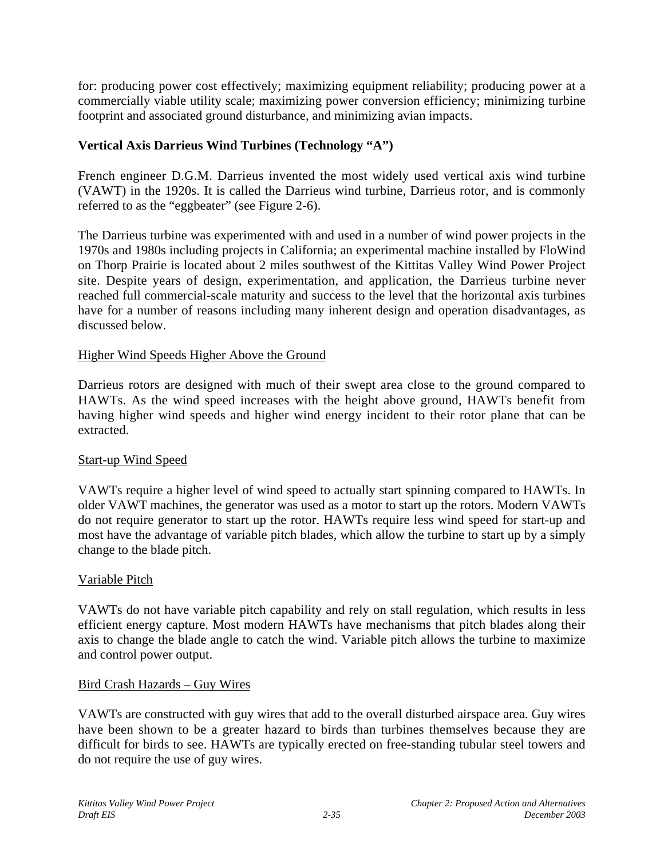for: producing power cost effectively; maximizing equipment reliability; producing power at a commercially viable utility scale; maximizing power conversion efficiency; minimizing turbine footprint and associated ground disturbance, and minimizing avian impacts.

## **Vertical Axis Darrieus Wind Turbines (Technology "A")**

French engineer D.G.M. Darrieus invented the most widely used vertical axis wind turbine (VAWT) in the 1920s. It is called the Darrieus wind turbine, Darrieus rotor, and is commonly referred to as the "eggbeater" (see Figure 2-6).

The Darrieus turbine was experimented with and used in a number of wind power projects in the 1970s and 1980s including projects in California; an experimental machine installed by FloWind on Thorp Prairie is located about 2 miles southwest of the Kittitas Valley Wind Power Project site. Despite years of design, experimentation, and application, the Darrieus turbine never reached full commercial-scale maturity and success to the level that the horizontal axis turbines have for a number of reasons including many inherent design and operation disadvantages, as discussed below.

### Higher Wind Speeds Higher Above the Ground

Darrieus rotors are designed with much of their swept area close to the ground compared to HAWTs. As the wind speed increases with the height above ground, HAWTs benefit from having higher wind speeds and higher wind energy incident to their rotor plane that can be extracted.

### Start-up Wind Speed

VAWTs require a higher level of wind speed to actually start spinning compared to HAWTs. In older VAWT machines, the generator was used as a motor to start up the rotors. Modern VAWTs do not require generator to start up the rotor. HAWTs require less wind speed for start-up and most have the advantage of variable pitch blades, which allow the turbine to start up by a simply change to the blade pitch.

### Variable Pitch

VAWTs do not have variable pitch capability and rely on stall regulation, which results in less efficient energy capture. Most modern HAWTs have mechanisms that pitch blades along their axis to change the blade angle to catch the wind. Variable pitch allows the turbine to maximize and control power output.

### Bird Crash Hazards – Guy Wires

VAWTs are constructed with guy wires that add to the overall disturbed airspace area. Guy wires have been shown to be a greater hazard to birds than turbines themselves because they are difficult for birds to see. HAWTs are typically erected on free-standing tubular steel towers and do not require the use of guy wires.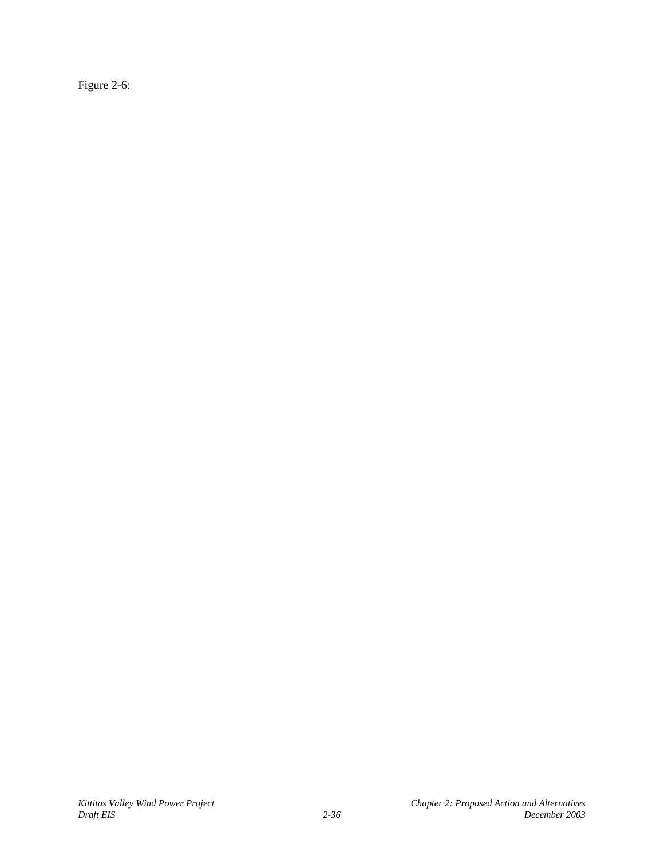Figure 2-6: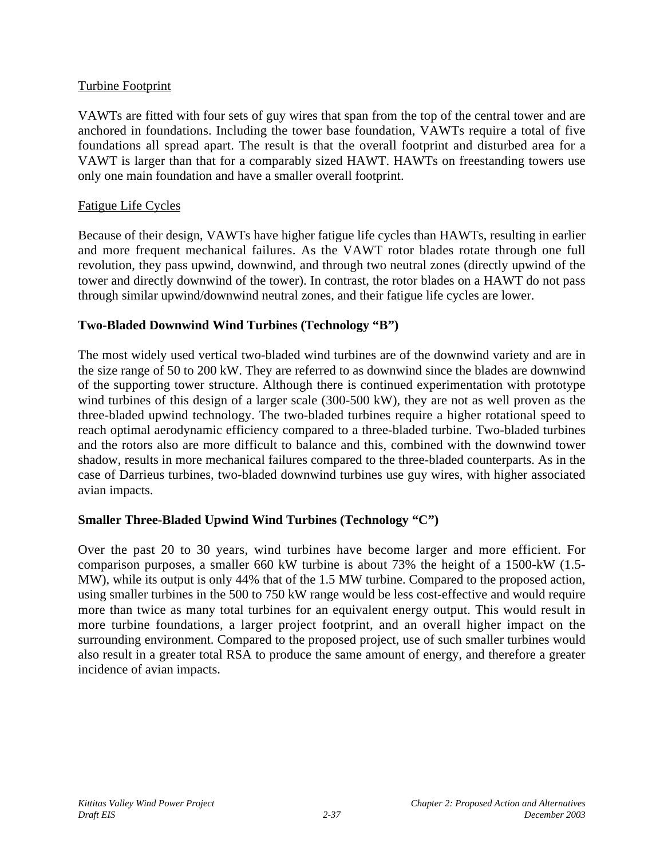### Turbine Footprint

VAWTs are fitted with four sets of guy wires that span from the top of the central tower and are anchored in foundations. Including the tower base foundation, VAWTs require a total of five foundations all spread apart. The result is that the overall footprint and disturbed area for a VAWT is larger than that for a comparably sized HAWT. HAWTs on freestanding towers use only one main foundation and have a smaller overall footprint.

### Fatigue Life Cycles

Because of their design, VAWTs have higher fatigue life cycles than HAWTs, resulting in earlier and more frequent mechanical failures. As the VAWT rotor blades rotate through one full revolution, they pass upwind, downwind, and through two neutral zones (directly upwind of the tower and directly downwind of the tower). In contrast, the rotor blades on a HAWT do not pass through similar upwind/downwind neutral zones, and their fatigue life cycles are lower.

## **Two-Bladed Downwind Wind Turbines (Technology "B")**

The most widely used vertical two-bladed wind turbines are of the downwind variety and are in the size range of 50 to 200 kW. They are referred to as downwind since the blades are downwind of the supporting tower structure. Although there is continued experimentation with prototype wind turbines of this design of a larger scale (300-500 kW), they are not as well proven as the three-bladed upwind technology. The two-bladed turbines require a higher rotational speed to reach optimal aerodynamic efficiency compared to a three-bladed turbine. Two-bladed turbines and the rotors also are more difficult to balance and this, combined with the downwind tower shadow, results in more mechanical failures compared to the three-bladed counterparts. As in the case of Darrieus turbines, two-bladed downwind turbines use guy wires, with higher associated avian impacts.

## **Smaller Three-Bladed Upwind Wind Turbines (Technology "C")**

Over the past 20 to 30 years, wind turbines have become larger and more efficient. For comparison purposes, a smaller 660 kW turbine is about 73% the height of a 1500-kW (1.5- MW), while its output is only 44% that of the 1.5 MW turbine. Compared to the proposed action, using smaller turbines in the 500 to 750 kW range would be less cost-effective and would require more than twice as many total turbines for an equivalent energy output. This would result in more turbine foundations, a larger project footprint, and an overall higher impact on the surrounding environment. Compared to the proposed project, use of such smaller turbines would also result in a greater total RSA to produce the same amount of energy, and therefore a greater incidence of avian impacts.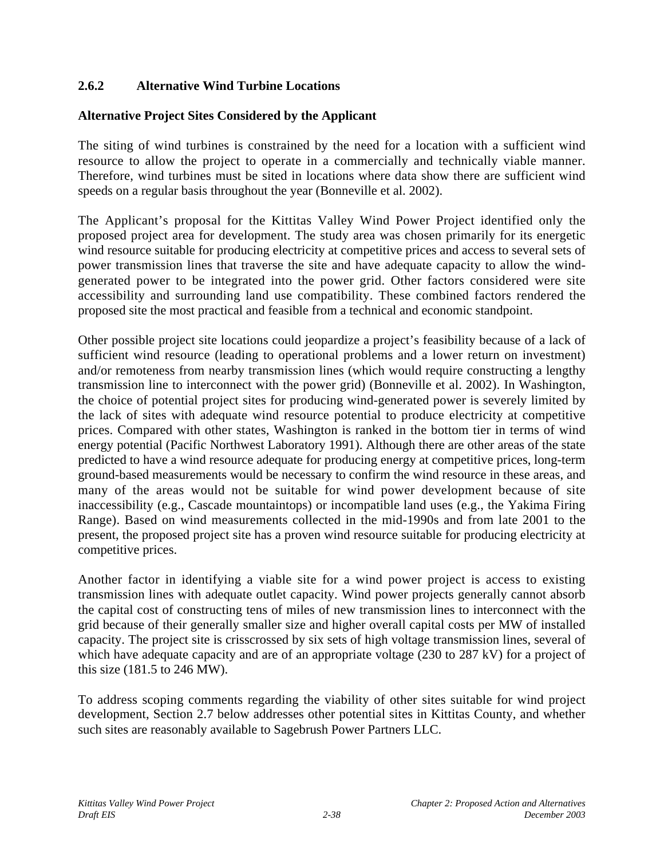## **2.6.2 Alternative Wind Turbine Locations**

### **Alternative Project Sites Considered by the Applicant**

The siting of wind turbines is constrained by the need for a location with a sufficient wind resource to allow the project to operate in a commercially and technically viable manner. Therefore, wind turbines must be sited in locations where data show there are sufficient wind speeds on a regular basis throughout the year (Bonneville et al. 2002).

The Applicant's proposal for the Kittitas Valley Wind Power Project identified only the proposed project area for development. The study area was chosen primarily for its energetic wind resource suitable for producing electricity at competitive prices and access to several sets of power transmission lines that traverse the site and have adequate capacity to allow the windgenerated power to be integrated into the power grid. Other factors considered were site accessibility and surrounding land use compatibility. These combined factors rendered the proposed site the most practical and feasible from a technical and economic standpoint.

Other possible project site locations could jeopardize a project's feasibility because of a lack of sufficient wind resource (leading to operational problems and a lower return on investment) and/or remoteness from nearby transmission lines (which would require constructing a lengthy transmission line to interconnect with the power grid) (Bonneville et al. 2002). In Washington, the choice of potential project sites for producing wind-generated power is severely limited by the lack of sites with adequate wind resource potential to produce electricity at competitive prices. Compared with other states, Washington is ranked in the bottom tier in terms of wind energy potential (Pacific Northwest Laboratory 1991). Although there are other areas of the state predicted to have a wind resource adequate for producing energy at competitive prices, long-term ground-based measurements would be necessary to confirm the wind resource in these areas, and many of the areas would not be suitable for wind power development because of site inaccessibility (e.g., Cascade mountaintops) or incompatible land uses (e.g., the Yakima Firing Range). Based on wind measurements collected in the mid-1990s and from late 2001 to the present, the proposed project site has a proven wind resource suitable for producing electricity at competitive prices.

Another factor in identifying a viable site for a wind power project is access to existing transmission lines with adequate outlet capacity. Wind power projects generally cannot absorb the capital cost of constructing tens of miles of new transmission lines to interconnect with the grid because of their generally smaller size and higher overall capital costs per MW of installed capacity. The project site is crisscrossed by six sets of high voltage transmission lines, several of which have adequate capacity and are of an appropriate voltage (230 to 287 kV) for a project of this size (181.5 to 246 MW).

To address scoping comments regarding the viability of other sites suitable for wind project development, Section 2.7 below addresses other potential sites in Kittitas County, and whether such sites are reasonably available to Sagebrush Power Partners LLC.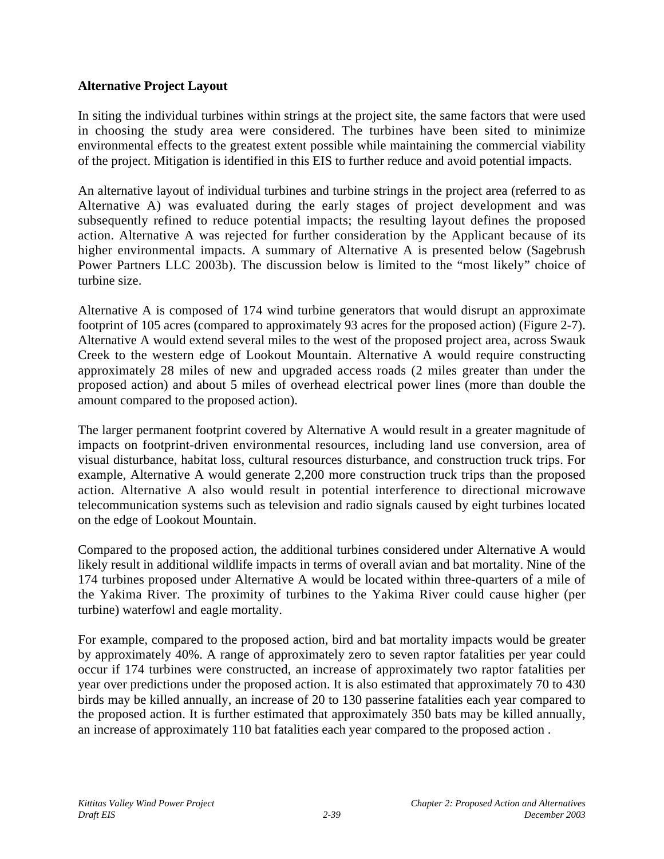### **Alternative Project Layout**

In siting the individual turbines within strings at the project site, the same factors that were used in choosing the study area were considered. The turbines have been sited to minimize environmental effects to the greatest extent possible while maintaining the commercial viability of the project. Mitigation is identified in this EIS to further reduce and avoid potential impacts.

An alternative layout of individual turbines and turbine strings in the project area (referred to as Alternative A) was evaluated during the early stages of project development and was subsequently refined to reduce potential impacts; the resulting layout defines the proposed action. Alternative A was rejected for further consideration by the Applicant because of its higher environmental impacts. A summary of Alternative A is presented below (Sagebrush Power Partners LLC 2003b). The discussion below is limited to the "most likely" choice of turbine size.

Alternative A is composed of 174 wind turbine generators that would disrupt an approximate footprint of 105 acres (compared to approximately 93 acres for the proposed action) (Figure 2-7). Alternative A would extend several miles to the west of the proposed project area, across Swauk Creek to the western edge of Lookout Mountain. Alternative A would require constructing approximately 28 miles of new and upgraded access roads (2 miles greater than under the proposed action) and about 5 miles of overhead electrical power lines (more than double the amount compared to the proposed action).

The larger permanent footprint covered by Alternative A would result in a greater magnitude of impacts on footprint-driven environmental resources, including land use conversion, area of visual disturbance, habitat loss, cultural resources disturbance, and construction truck trips. For example, Alternative A would generate 2,200 more construction truck trips than the proposed action. Alternative A also would result in potential interference to directional microwave telecommunication systems such as television and radio signals caused by eight turbines located on the edge of Lookout Mountain.

Compared to the proposed action, the additional turbines considered under Alternative A would likely result in additional wildlife impacts in terms of overall avian and bat mortality. Nine of the 174 turbines proposed under Alternative A would be located within three-quarters of a mile of the Yakima River. The proximity of turbines to the Yakima River could cause higher (per turbine) waterfowl and eagle mortality.

For example, compared to the proposed action, bird and bat mortality impacts would be greater by approximately 40%. A range of approximately zero to seven raptor fatalities per year could occur if 174 turbines were constructed, an increase of approximately two raptor fatalities per year over predictions under the proposed action. It is also estimated that approximately 70 to 430 birds may be killed annually, an increase of 20 to 130 passerine fatalities each year compared to the proposed action. It is further estimated that approximately 350 bats may be killed annually, an increase of approximately 110 bat fatalities each year compared to the proposed action .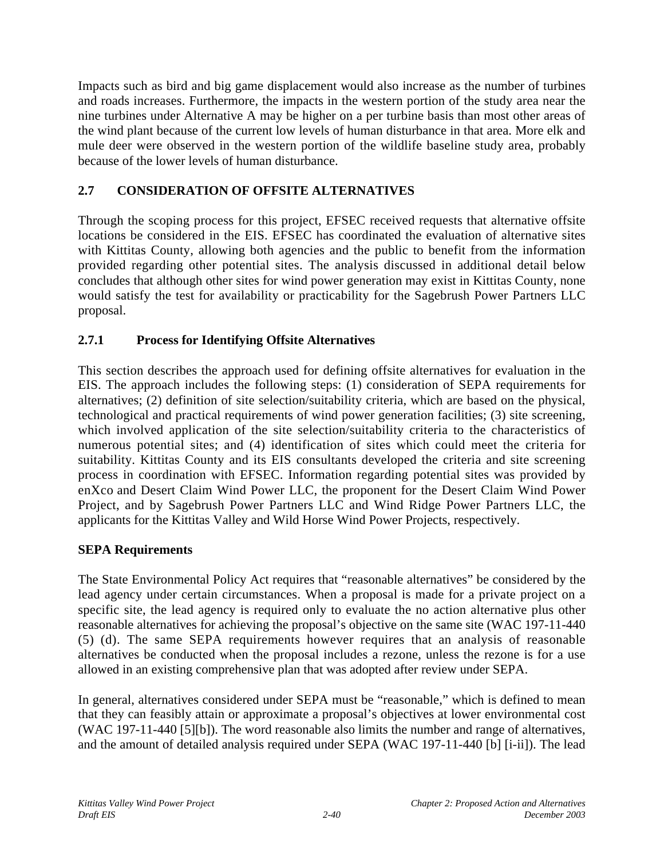Impacts such as bird and big game displacement would also increase as the number of turbines and roads increases. Furthermore, the impacts in the western portion of the study area near the nine turbines under Alternative A may be higher on a per turbine basis than most other areas of the wind plant because of the current low levels of human disturbance in that area. More elk and mule deer were observed in the western portion of the wildlife baseline study area, probably because of the lower levels of human disturbance.

# **2.7 CONSIDERATION OF OFFSITE ALTERNATIVES**

Through the scoping process for this project, EFSEC received requests that alternative offsite locations be considered in the EIS. EFSEC has coordinated the evaluation of alternative sites with Kittitas County, allowing both agencies and the public to benefit from the information provided regarding other potential sites. The analysis discussed in additional detail below concludes that although other sites for wind power generation may exist in Kittitas County, none would satisfy the test for availability or practicability for the Sagebrush Power Partners LLC proposal.

# **2.7.1 Process for Identifying Offsite Alternatives**

This section describes the approach used for defining offsite alternatives for evaluation in the EIS. The approach includes the following steps: (1) consideration of SEPA requirements for alternatives; (2) definition of site selection/suitability criteria, which are based on the physical, technological and practical requirements of wind power generation facilities; (3) site screening, which involved application of the site selection/suitability criteria to the characteristics of numerous potential sites; and (4) identification of sites which could meet the criteria for suitability. Kittitas County and its EIS consultants developed the criteria and site screening process in coordination with EFSEC. Information regarding potential sites was provided by enXco and Desert Claim Wind Power LLC, the proponent for the Desert Claim Wind Power Project, and by Sagebrush Power Partners LLC and Wind Ridge Power Partners LLC, the applicants for the Kittitas Valley and Wild Horse Wind Power Projects, respectively.

## **SEPA Requirements**

The State Environmental Policy Act requires that "reasonable alternatives" be considered by the lead agency under certain circumstances. When a proposal is made for a private project on a specific site, the lead agency is required only to evaluate the no action alternative plus other reasonable alternatives for achieving the proposal's objective on the same site (WAC 197-11-440 (5) (d). The same SEPA requirements however requires that an analysis of reasonable alternatives be conducted when the proposal includes a rezone, unless the rezone is for a use allowed in an existing comprehensive plan that was adopted after review under SEPA.

In general, alternatives considered under SEPA must be "reasonable," which is defined to mean that they can feasibly attain or approximate a proposal's objectives at lower environmental cost (WAC 197-11-440 [5][b]). The word reasonable also limits the number and range of alternatives, and the amount of detailed analysis required under SEPA (WAC 197-11-440 [b] [i-ii]). The lead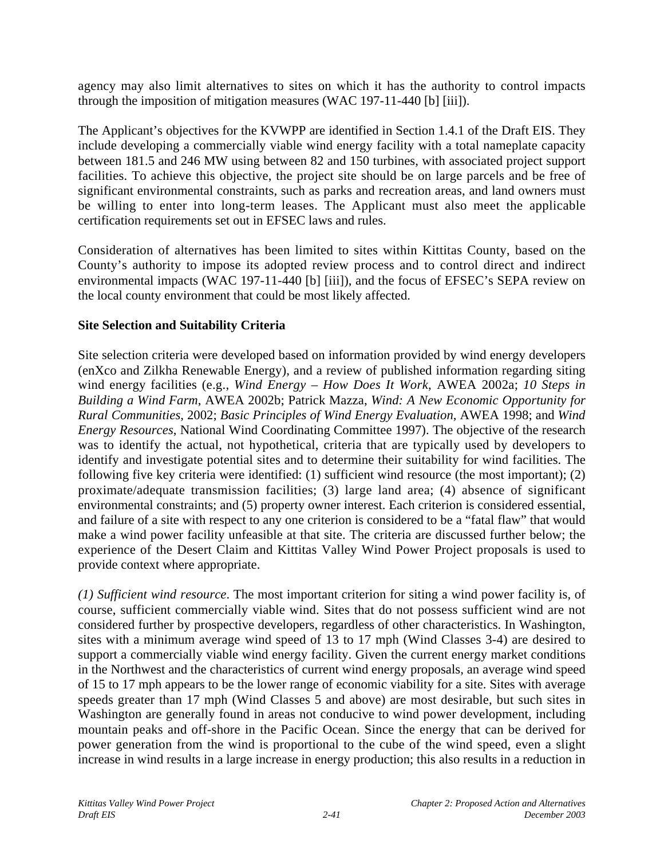agency may also limit alternatives to sites on which it has the authority to control impacts through the imposition of mitigation measures (WAC 197-11-440 [b] [iii]).

The Applicant's objectives for the KVWPP are identified in Section 1.4.1 of the Draft EIS. They include developing a commercially viable wind energy facility with a total nameplate capacity between 181.5 and 246 MW using between 82 and 150 turbines, with associated project support facilities. To achieve this objective, the project site should be on large parcels and be free of significant environmental constraints, such as parks and recreation areas, and land owners must be willing to enter into long-term leases. The Applicant must also meet the applicable certification requirements set out in EFSEC laws and rules.

Consideration of alternatives has been limited to sites within Kittitas County, based on the County's authority to impose its adopted review process and to control direct and indirect environmental impacts (WAC 197-11-440 [b] [iii]), and the focus of EFSEC's SEPA review on the local county environment that could be most likely affected.

### **Site Selection and Suitability Criteria**

Site selection criteria were developed based on information provided by wind energy developers (enXco and Zilkha Renewable Energy), and a review of published information regarding siting wind energy facilities (e.g., *Wind Energy – How Does It Work*, AWEA 2002a; *10 Steps in Building a Wind Farm*, AWEA 2002b; Patrick Mazza, *Wind: A New Economic Opportunity for Rural Communities*, 2002; *Basic Principles of Wind Energy Evaluation*, AWEA 1998; and *Wind Energy Resources*, National Wind Coordinating Committee 1997). The objective of the research was to identify the actual, not hypothetical, criteria that are typically used by developers to identify and investigate potential sites and to determine their suitability for wind facilities. The following five key criteria were identified: (1) sufficient wind resource (the most important); (2) proximate/adequate transmission facilities; (3) large land area; (4) absence of significant environmental constraints; and (5) property owner interest. Each criterion is considered essential, and failure of a site with respect to any one criterion is considered to be a "fatal flaw" that would make a wind power facility unfeasible at that site. The criteria are discussed further below; the experience of the Desert Claim and Kittitas Valley Wind Power Project proposals is used to provide context where appropriate.

*(1) Sufficient wind resource*. The most important criterion for siting a wind power facility is, of course, sufficient commercially viable wind. Sites that do not possess sufficient wind are not considered further by prospective developers, regardless of other characteristics. In Washington, sites with a minimum average wind speed of 13 to 17 mph (Wind Classes 3-4) are desired to support a commercially viable wind energy facility. Given the current energy market conditions in the Northwest and the characteristics of current wind energy proposals, an average wind speed of 15 to 17 mph appears to be the lower range of economic viability for a site. Sites with average speeds greater than 17 mph (Wind Classes 5 and above) are most desirable, but such sites in Washington are generally found in areas not conducive to wind power development, including mountain peaks and off-shore in the Pacific Ocean. Since the energy that can be derived for power generation from the wind is proportional to the cube of the wind speed, even a slight increase in wind results in a large increase in energy production; this also results in a reduction in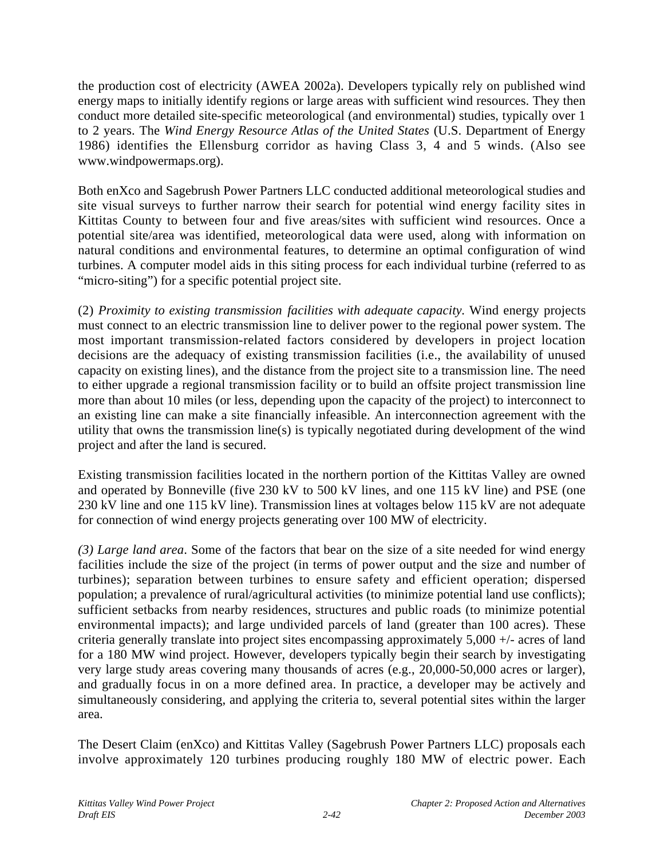the production cost of electricity (AWEA 2002a). Developers typically rely on published wind energy maps to initially identify regions or large areas with sufficient wind resources. They then conduct more detailed site-specific meteorological (and environmental) studies, typically over 1 to 2 years. The *Wind Energy Resource Atlas of the United States* (U.S. Department of Energy 1986) identifies the Ellensburg corridor as having Class 3, 4 and 5 winds. (Also see www.windpowermaps.org).

Both enXco and Sagebrush Power Partners LLC conducted additional meteorological studies and site visual surveys to further narrow their search for potential wind energy facility sites in Kittitas County to between four and five areas/sites with sufficient wind resources. Once a potential site/area was identified, meteorological data were used, along with information on natural conditions and environmental features, to determine an optimal configuration of wind turbines. A computer model aids in this siting process for each individual turbine (referred to as "micro-siting") for a specific potential project site.

(2) *Proximity to existing transmission facilities with adequate capacity.* Wind energy projects must connect to an electric transmission line to deliver power to the regional power system. The most important transmission-related factors considered by developers in project location decisions are the adequacy of existing transmission facilities (i.e., the availability of unused capacity on existing lines), and the distance from the project site to a transmission line. The need to either upgrade a regional transmission facility or to build an offsite project transmission line more than about 10 miles (or less, depending upon the capacity of the project) to interconnect to an existing line can make a site financially infeasible. An interconnection agreement with the utility that owns the transmission line(s) is typically negotiated during development of the wind project and after the land is secured.

Existing transmission facilities located in the northern portion of the Kittitas Valley are owned and operated by Bonneville (five 230 kV to 500 kV lines, and one 115 kV line) and PSE (one 230 kV line and one 115 kV line). Transmission lines at voltages below 115 kV are not adequate for connection of wind energy projects generating over 100 MW of electricity.

*(3) Large land area*. Some of the factors that bear on the size of a site needed for wind energy facilities include the size of the project (in terms of power output and the size and number of turbines); separation between turbines to ensure safety and efficient operation; dispersed population; a prevalence of rural/agricultural activities (to minimize potential land use conflicts); sufficient setbacks from nearby residences, structures and public roads (to minimize potential environmental impacts); and large undivided parcels of land (greater than 100 acres). These criteria generally translate into project sites encompassing approximately 5,000 +/- acres of land for a 180 MW wind project. However, developers typically begin their search by investigating very large study areas covering many thousands of acres (e.g., 20,000-50,000 acres or larger), and gradually focus in on a more defined area. In practice, a developer may be actively and simultaneously considering, and applying the criteria to, several potential sites within the larger area.

The Desert Claim (enXco) and Kittitas Valley (Sagebrush Power Partners LLC) proposals each involve approximately 120 turbines producing roughly 180 MW of electric power. Each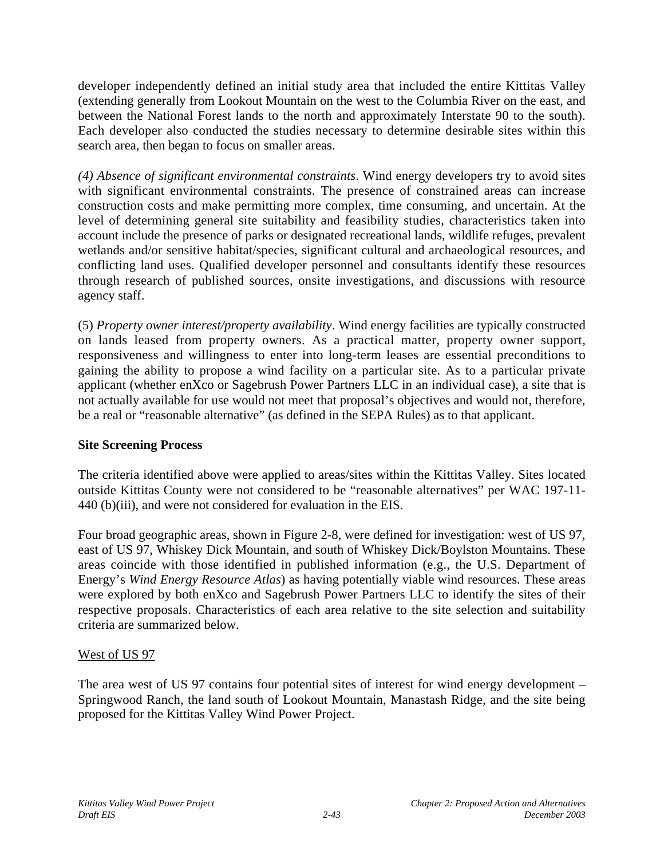developer independently defined an initial study area that included the entire Kittitas Valley (extending generally from Lookout Mountain on the west to the Columbia River on the east, and between the National Forest lands to the north and approximately Interstate 90 to the south). Each developer also conducted the studies necessary to determine desirable sites within this search area, then began to focus on smaller areas.

*(4) Absence of significant environmental constraints*. Wind energy developers try to avoid sites with significant environmental constraints. The presence of constrained areas can increase construction costs and make permitting more complex, time consuming, and uncertain. At the level of determining general site suitability and feasibility studies, characteristics taken into account include the presence of parks or designated recreational lands, wildlife refuges, prevalent wetlands and/or sensitive habitat/species, significant cultural and archaeological resources, and conflicting land uses. Qualified developer personnel and consultants identify these resources through research of published sources, onsite investigations, and discussions with resource agency staff.

(5) *Property owner interest/property availability*. Wind energy facilities are typically constructed on lands leased from property owners. As a practical matter, property owner support, responsiveness and willingness to enter into long-term leases are essential preconditions to gaining the ability to propose a wind facility on a particular site. As to a particular private applicant (whether enXco or Sagebrush Power Partners LLC in an individual case), a site that is not actually available for use would not meet that proposal's objectives and would not, therefore, be a real or "reasonable alternative" (as defined in the SEPA Rules) as to that applicant.

## **Site Screening Process**

The criteria identified above were applied to areas/sites within the Kittitas Valley. Sites located outside Kittitas County were not considered to be "reasonable alternatives" per WAC 197-11- 440 (b)(iii), and were not considered for evaluation in the EIS.

Four broad geographic areas, shown in Figure 2-8, were defined for investigation: west of US 97, east of US 97, Whiskey Dick Mountain, and south of Whiskey Dick/Boylston Mountains. These areas coincide with those identified in published information (e.g., the U.S. Department of Energy's *Wind Energy Resource Atlas*) as having potentially viable wind resources. These areas were explored by both enXco and Sagebrush Power Partners LLC to identify the sites of their respective proposals. Characteristics of each area relative to the site selection and suitability criteria are summarized below.

## West of US 97

The area west of US 97 contains four potential sites of interest for wind energy development – Springwood Ranch, the land south of Lookout Mountain, Manastash Ridge, and the site being proposed for the Kittitas Valley Wind Power Project.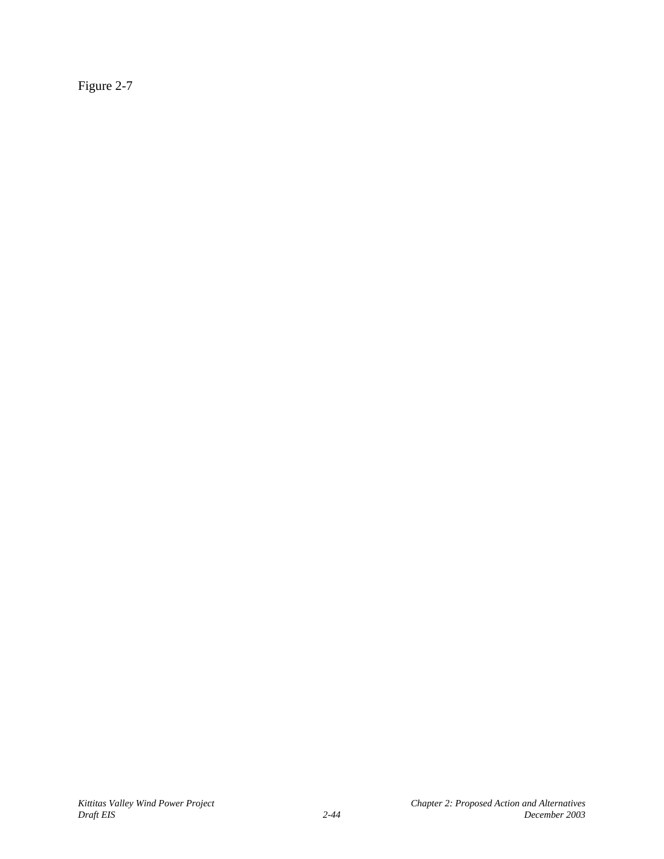Figure 2-7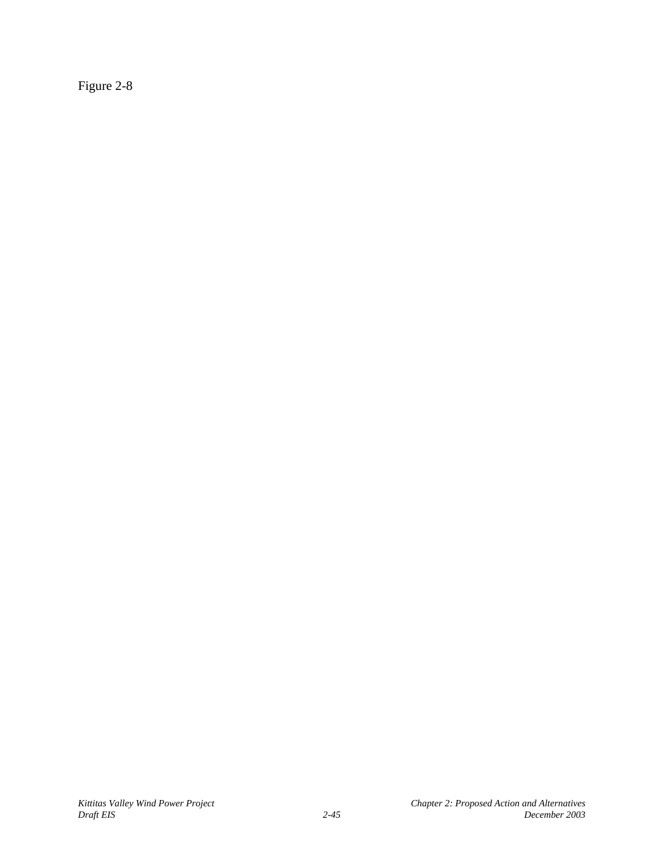Figure 2-8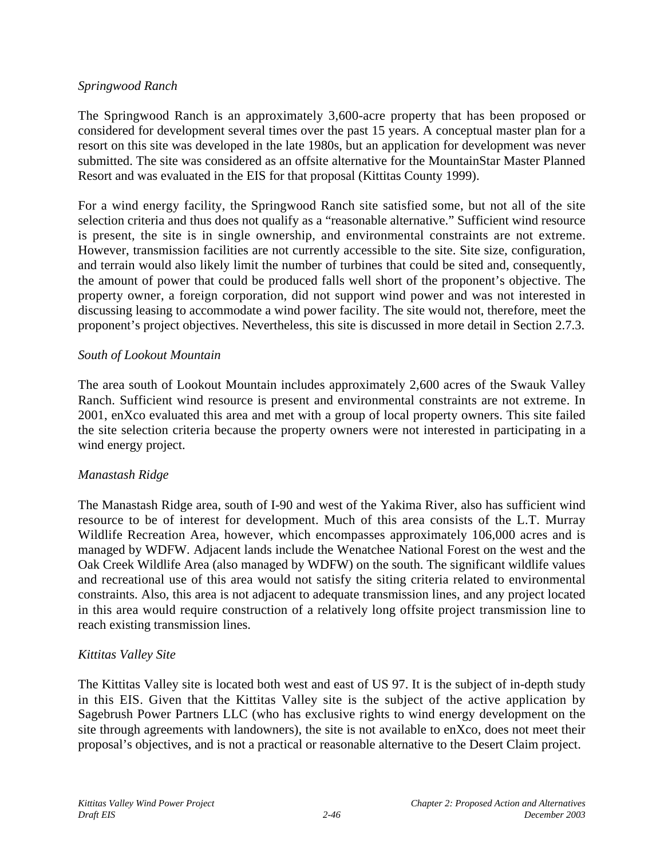#### *Springwood Ranch*

The Springwood Ranch is an approximately 3,600-acre property that has been proposed or considered for development several times over the past 15 years. A conceptual master plan for a resort on this site was developed in the late 1980s, but an application for development was never submitted. The site was considered as an offsite alternative for the MountainStar Master Planned Resort and was evaluated in the EIS for that proposal (Kittitas County 1999).

For a wind energy facility, the Springwood Ranch site satisfied some, but not all of the site selection criteria and thus does not qualify as a "reasonable alternative." Sufficient wind resource is present, the site is in single ownership, and environmental constraints are not extreme. However, transmission facilities are not currently accessible to the site. Site size, configuration, and terrain would also likely limit the number of turbines that could be sited and, consequently, the amount of power that could be produced falls well short of the proponent's objective. The property owner, a foreign corporation, did not support wind power and was not interested in discussing leasing to accommodate a wind power facility. The site would not, therefore, meet the proponent's project objectives. Nevertheless, this site is discussed in more detail in Section 2.7.3.

### *South of Lookout Mountain*

The area south of Lookout Mountain includes approximately 2,600 acres of the Swauk Valley Ranch. Sufficient wind resource is present and environmental constraints are not extreme. In 2001, enXco evaluated this area and met with a group of local property owners. This site failed the site selection criteria because the property owners were not interested in participating in a wind energy project.

#### *Manastash Ridge*

The Manastash Ridge area, south of I-90 and west of the Yakima River, also has sufficient wind resource to be of interest for development. Much of this area consists of the L.T. Murray Wildlife Recreation Area, however, which encompasses approximately 106,000 acres and is managed by WDFW. Adjacent lands include the Wenatchee National Forest on the west and the Oak Creek Wildlife Area (also managed by WDFW) on the south. The significant wildlife values and recreational use of this area would not satisfy the siting criteria related to environmental constraints. Also, this area is not adjacent to adequate transmission lines, and any project located in this area would require construction of a relatively long offsite project transmission line to reach existing transmission lines.

### *Kittitas Valley Site*

The Kittitas Valley site is located both west and east of US 97. It is the subject of in-depth study in this EIS. Given that the Kittitas Valley site is the subject of the active application by Sagebrush Power Partners LLC (who has exclusive rights to wind energy development on the site through agreements with landowners), the site is not available to enXco, does not meet their proposal's objectives, and is not a practical or reasonable alternative to the Desert Claim project.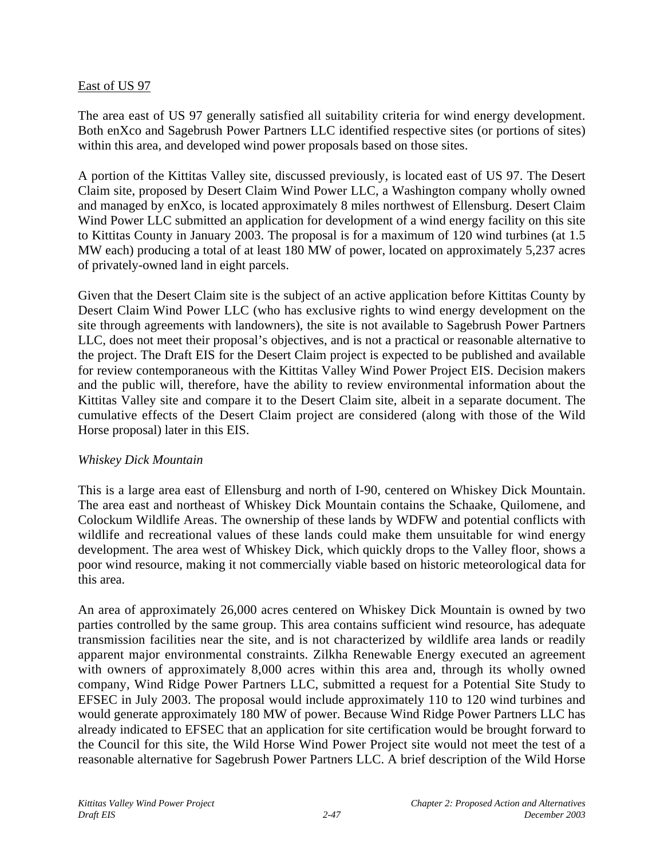#### East of US 97

The area east of US 97 generally satisfied all suitability criteria for wind energy development. Both enXco and Sagebrush Power Partners LLC identified respective sites (or portions of sites) within this area, and developed wind power proposals based on those sites.

A portion of the Kittitas Valley site, discussed previously, is located east of US 97. The Desert Claim site, proposed by Desert Claim Wind Power LLC, a Washington company wholly owned and managed by enXco, is located approximately 8 miles northwest of Ellensburg. Desert Claim Wind Power LLC submitted an application for development of a wind energy facility on this site to Kittitas County in January 2003. The proposal is for a maximum of 120 wind turbines (at 1.5 MW each) producing a total of at least 180 MW of power, located on approximately 5,237 acres of privately-owned land in eight parcels.

Given that the Desert Claim site is the subject of an active application before Kittitas County by Desert Claim Wind Power LLC (who has exclusive rights to wind energy development on the site through agreements with landowners), the site is not available to Sagebrush Power Partners LLC, does not meet their proposal's objectives, and is not a practical or reasonable alternative to the project. The Draft EIS for the Desert Claim project is expected to be published and available for review contemporaneous with the Kittitas Valley Wind Power Project EIS. Decision makers and the public will, therefore, have the ability to review environmental information about the Kittitas Valley site and compare it to the Desert Claim site, albeit in a separate document. The cumulative effects of the Desert Claim project are considered (along with those of the Wild Horse proposal) later in this EIS.

#### *Whiskey Dick Mountain*

This is a large area east of Ellensburg and north of I-90, centered on Whiskey Dick Mountain. The area east and northeast of Whiskey Dick Mountain contains the Schaake, Quilomene, and Colockum Wildlife Areas. The ownership of these lands by WDFW and potential conflicts with wildlife and recreational values of these lands could make them unsuitable for wind energy development. The area west of Whiskey Dick, which quickly drops to the Valley floor, shows a poor wind resource, making it not commercially viable based on historic meteorological data for this area.

An area of approximately 26,000 acres centered on Whiskey Dick Mountain is owned by two parties controlled by the same group. This area contains sufficient wind resource, has adequate transmission facilities near the site, and is not characterized by wildlife area lands or readily apparent major environmental constraints. Zilkha Renewable Energy executed an agreement with owners of approximately 8,000 acres within this area and, through its wholly owned company, Wind Ridge Power Partners LLC, submitted a request for a Potential Site Study to EFSEC in July 2003. The proposal would include approximately 110 to 120 wind turbines and would generate approximately 180 MW of power. Because Wind Ridge Power Partners LLC has already indicated to EFSEC that an application for site certification would be brought forward to the Council for this site, the Wild Horse Wind Power Project site would not meet the test of a reasonable alternative for Sagebrush Power Partners LLC. A brief description of the Wild Horse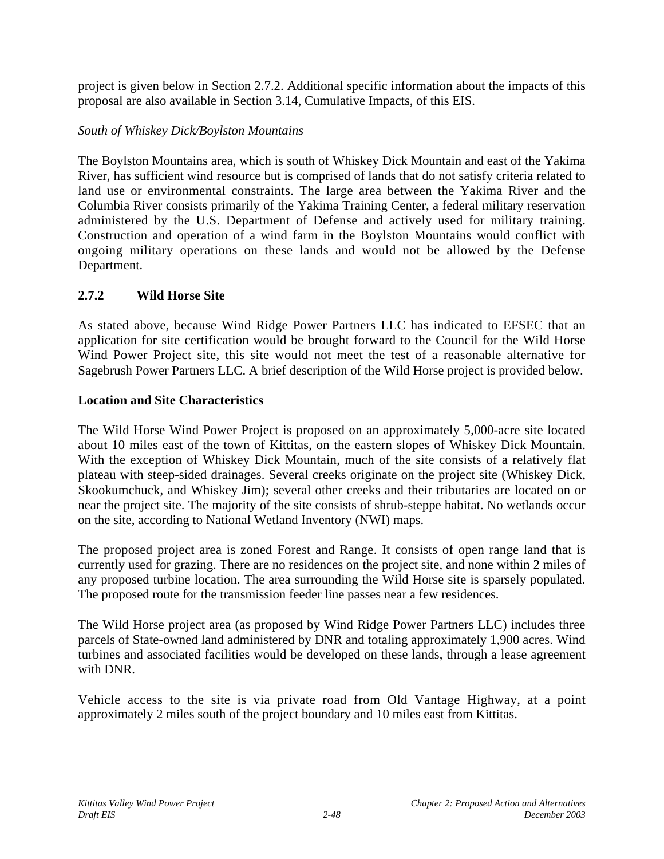project is given below in Section 2.7.2. Additional specific information about the impacts of this proposal are also available in Section 3.14, Cumulative Impacts, of this EIS.

#### *South of Whiskey Dick/Boylston Mountains*

The Boylston Mountains area, which is south of Whiskey Dick Mountain and east of the Yakima River, has sufficient wind resource but is comprised of lands that do not satisfy criteria related to land use or environmental constraints. The large area between the Yakima River and the Columbia River consists primarily of the Yakima Training Center, a federal military reservation administered by the U.S. Department of Defense and actively used for military training. Construction and operation of a wind farm in the Boylston Mountains would conflict with ongoing military operations on these lands and would not be allowed by the Defense Department.

### **2.7.2 Wild Horse Site**

As stated above, because Wind Ridge Power Partners LLC has indicated to EFSEC that an application for site certification would be brought forward to the Council for the Wild Horse Wind Power Project site, this site would not meet the test of a reasonable alternative for Sagebrush Power Partners LLC. A brief description of the Wild Horse project is provided below.

#### **Location and Site Characteristics**

The Wild Horse Wind Power Project is proposed on an approximately 5,000-acre site located about 10 miles east of the town of Kittitas, on the eastern slopes of Whiskey Dick Mountain. With the exception of Whiskey Dick Mountain, much of the site consists of a relatively flat plateau with steep-sided drainages. Several creeks originate on the project site (Whiskey Dick, Skookumchuck, and Whiskey Jim); several other creeks and their tributaries are located on or near the project site. The majority of the site consists of shrub-steppe habitat. No wetlands occur on the site, according to National Wetland Inventory (NWI) maps.

The proposed project area is zoned Forest and Range. It consists of open range land that is currently used for grazing. There are no residences on the project site, and none within 2 miles of any proposed turbine location. The area surrounding the Wild Horse site is sparsely populated. The proposed route for the transmission feeder line passes near a few residences.

The Wild Horse project area (as proposed by Wind Ridge Power Partners LLC) includes three parcels of State-owned land administered by DNR and totaling approximately 1,900 acres. Wind turbines and associated facilities would be developed on these lands, through a lease agreement with DNR.

Vehicle access to the site is via private road from Old Vantage Highway, at a point approximately 2 miles south of the project boundary and 10 miles east from Kittitas.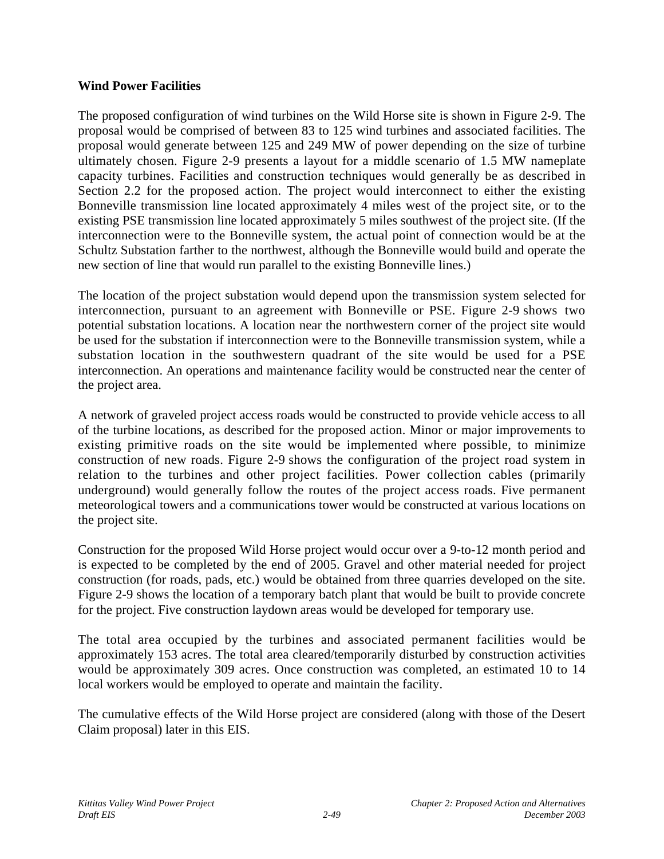#### **Wind Power Facilities**

The proposed configuration of wind turbines on the Wild Horse site is shown in Figure 2-9. The proposal would be comprised of between 83 to 125 wind turbines and associated facilities. The proposal would generate between 125 and 249 MW of power depending on the size of turbine ultimately chosen. Figure 2-9 presents a layout for a middle scenario of 1.5 MW nameplate capacity turbines. Facilities and construction techniques would generally be as described in Section 2.2 for the proposed action. The project would interconnect to either the existing Bonneville transmission line located approximately 4 miles west of the project site, or to the existing PSE transmission line located approximately 5 miles southwest of the project site. (If the interconnection were to the Bonneville system, the actual point of connection would be at the Schultz Substation farther to the northwest, although the Bonneville would build and operate the new section of line that would run parallel to the existing Bonneville lines.)

The location of the project substation would depend upon the transmission system selected for interconnection, pursuant to an agreement with Bonneville or PSE. Figure 2-9 shows two potential substation locations. A location near the northwestern corner of the project site would be used for the substation if interconnection were to the Bonneville transmission system, while a substation location in the southwestern quadrant of the site would be used for a PSE interconnection. An operations and maintenance facility would be constructed near the center of the project area.

A network of graveled project access roads would be constructed to provide vehicle access to all of the turbine locations, as described for the proposed action. Minor or major improvements to existing primitive roads on the site would be implemented where possible, to minimize construction of new roads. Figure 2-9 shows the configuration of the project road system in relation to the turbines and other project facilities. Power collection cables (primarily underground) would generally follow the routes of the project access roads. Five permanent meteorological towers and a communications tower would be constructed at various locations on the project site.

Construction for the proposed Wild Horse project would occur over a 9-to-12 month period and is expected to be completed by the end of 2005. Gravel and other material needed for project construction (for roads, pads, etc.) would be obtained from three quarries developed on the site. Figure 2-9 shows the location of a temporary batch plant that would be built to provide concrete for the project. Five construction laydown areas would be developed for temporary use.

The total area occupied by the turbines and associated permanent facilities would be approximately 153 acres. The total area cleared/temporarily disturbed by construction activities would be approximately 309 acres. Once construction was completed, an estimated 10 to 14 local workers would be employed to operate and maintain the facility.

The cumulative effects of the Wild Horse project are considered (along with those of the Desert Claim proposal) later in this EIS.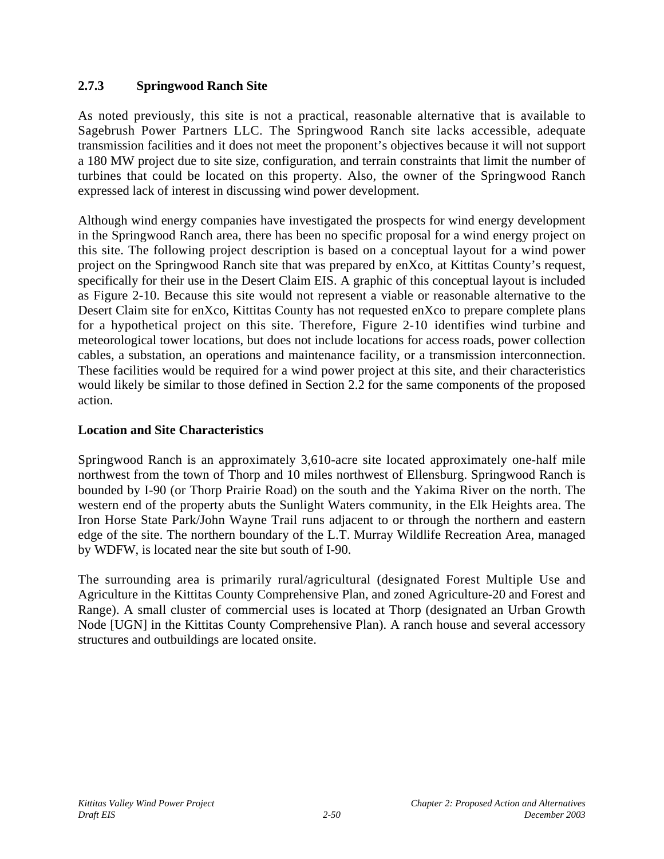## **2.7.3 Springwood Ranch Site**

As noted previously, this site is not a practical, reasonable alternative that is available to Sagebrush Power Partners LLC. The Springwood Ranch site lacks accessible, adequate transmission facilities and it does not meet the proponent's objectives because it will not support a 180 MW project due to site size, configuration, and terrain constraints that limit the number of turbines that could be located on this property. Also, the owner of the Springwood Ranch expressed lack of interest in discussing wind power development.

Although wind energy companies have investigated the prospects for wind energy development in the Springwood Ranch area, there has been no specific proposal for a wind energy project on this site. The following project description is based on a conceptual layout for a wind power project on the Springwood Ranch site that was prepared by enXco*,* at Kittitas County's request, specifically for their use in the Desert Claim EIS. A graphic of this conceptual layout is included as Figure 2-10. Because this site would not represent a viable or reasonable alternative to the Desert Claim site for enXco, Kittitas County has not requested enXco to prepare complete plans for a hypothetical project on this site. Therefore, Figure 2-10 identifies wind turbine and meteorological tower locations, but does not include locations for access roads, power collection cables, a substation, an operations and maintenance facility, or a transmission interconnection. These facilities would be required for a wind power project at this site, and their characteristics would likely be similar to those defined in Section 2.2 for the same components of the proposed action.

### **Location and Site Characteristics**

Springwood Ranch is an approximately 3,610-acre site located approximately one-half mile northwest from the town of Thorp and 10 miles northwest of Ellensburg. Springwood Ranch is bounded by I-90 (or Thorp Prairie Road) on the south and the Yakima River on the north. The western end of the property abuts the Sunlight Waters community, in the Elk Heights area. The Iron Horse State Park/John Wayne Trail runs adjacent to or through the northern and eastern edge of the site. The northern boundary of the L.T. Murray Wildlife Recreation Area, managed by WDFW, is located near the site but south of I-90.

The surrounding area is primarily rural/agricultural (designated Forest Multiple Use and Agriculture in the Kittitas County Comprehensive Plan, and zoned Agriculture-20 and Forest and Range). A small cluster of commercial uses is located at Thorp (designated an Urban Growth Node [UGN] in the Kittitas County Comprehensive Plan). A ranch house and several accessory structures and outbuildings are located onsite.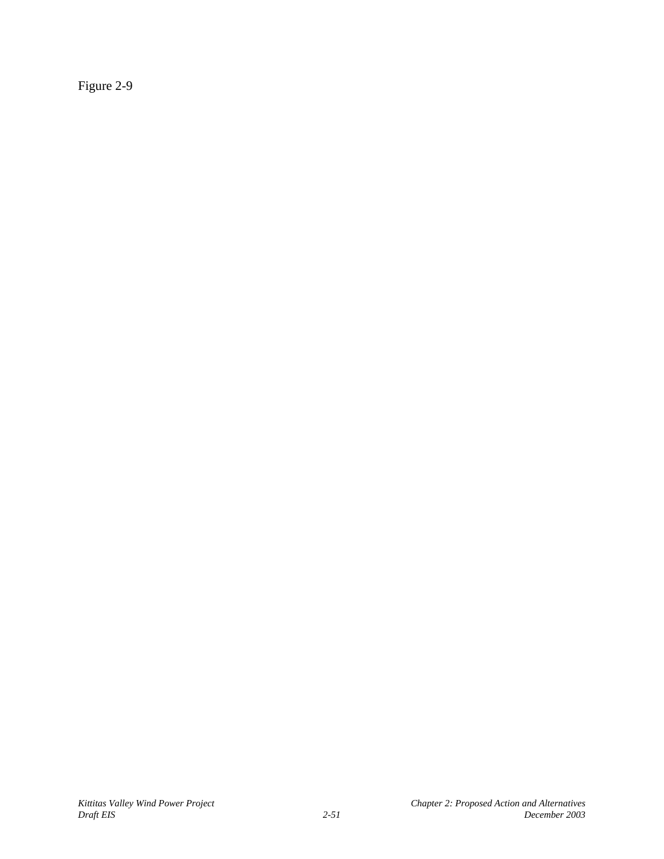Figure 2-9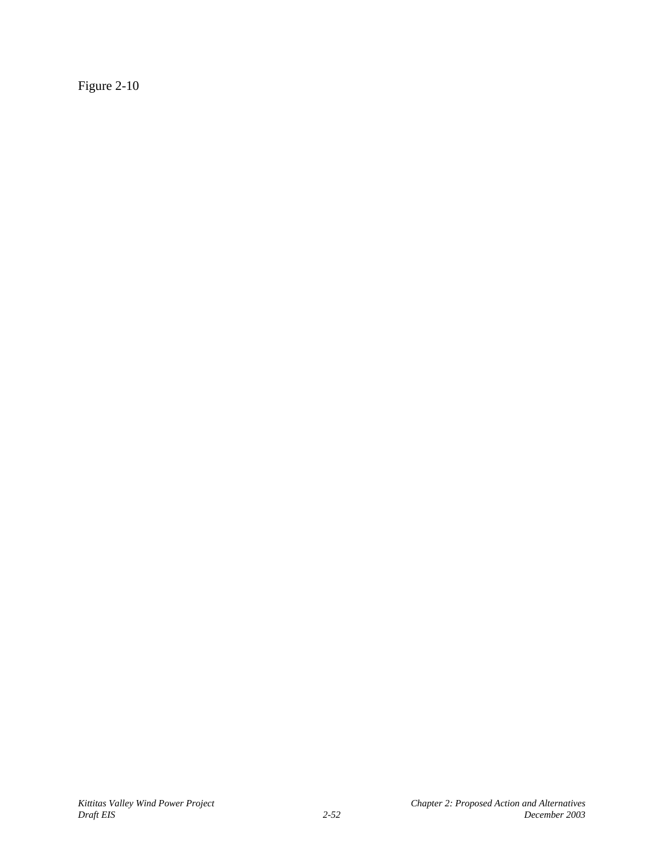Figure 2-10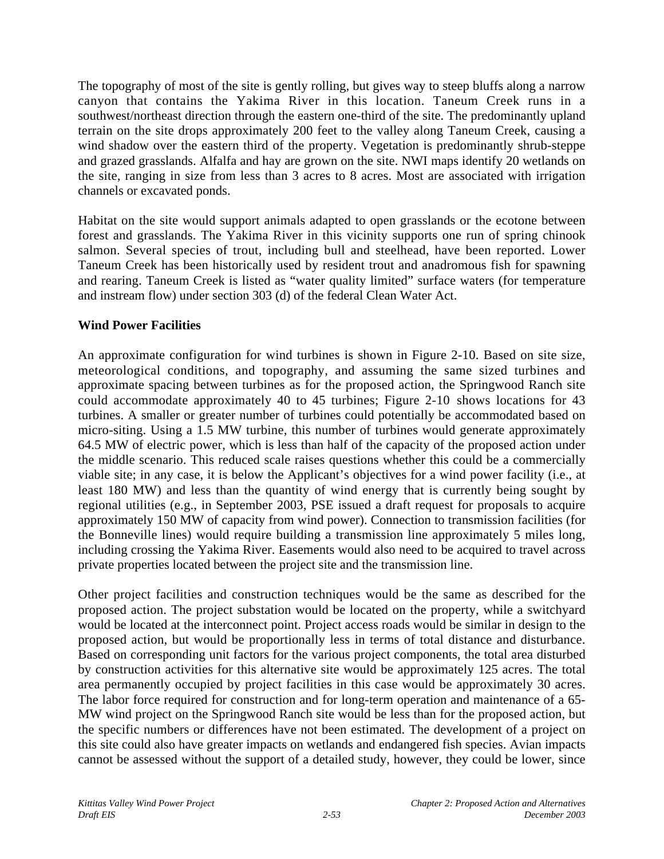The topography of most of the site is gently rolling, but gives way to steep bluffs along a narrow canyon that contains the Yakima River in this location. Taneum Creek runs in a southwest/northeast direction through the eastern one-third of the site. The predominantly upland terrain on the site drops approximately 200 feet to the valley along Taneum Creek, causing a wind shadow over the eastern third of the property. Vegetation is predominantly shrub-steppe and grazed grasslands. Alfalfa and hay are grown on the site. NWI maps identify 20 wetlands on the site, ranging in size from less than 3 acres to 8 acres. Most are associated with irrigation channels or excavated ponds.

Habitat on the site would support animals adapted to open grasslands or the ecotone between forest and grasslands. The Yakima River in this vicinity supports one run of spring chinook salmon. Several species of trout, including bull and steelhead, have been reported. Lower Taneum Creek has been historically used by resident trout and anadromous fish for spawning and rearing. Taneum Creek is listed as "water quality limited" surface waters (for temperature and instream flow) under section 303 (d) of the federal Clean Water Act.

## **Wind Power Facilities**

An approximate configuration for wind turbines is shown in Figure 2-10. Based on site size, meteorological conditions, and topography, and assuming the same sized turbines and approximate spacing between turbines as for the proposed action, the Springwood Ranch site could accommodate approximately 40 to 45 turbines; Figure 2-10 shows locations for 43 turbines. A smaller or greater number of turbines could potentially be accommodated based on micro-siting. Using a 1.5 MW turbine, this number of turbines would generate approximately 64.5 MW of electric power, which is less than half of the capacity of the proposed action under the middle scenario. This reduced scale raises questions whether this could be a commercially viable site; in any case, it is below the Applicant's objectives for a wind power facility (i.e., at least 180 MW) and less than the quantity of wind energy that is currently being sought by regional utilities (e.g., in September 2003, PSE issued a draft request for proposals to acquire approximately 150 MW of capacity from wind power). Connection to transmission facilities (for the Bonneville lines) would require building a transmission line approximately 5 miles long, including crossing the Yakima River. Easements would also need to be acquired to travel across private properties located between the project site and the transmission line.

Other project facilities and construction techniques would be the same as described for the proposed action. The project substation would be located on the property, while a switchyard would be located at the interconnect point. Project access roads would be similar in design to the proposed action, but would be proportionally less in terms of total distance and disturbance. Based on corresponding unit factors for the various project components, the total area disturbed by construction activities for this alternative site would be approximately 125 acres. The total area permanently occupied by project facilities in this case would be approximately 30 acres. The labor force required for construction and for long-term operation and maintenance of a 65- MW wind project on the Springwood Ranch site would be less than for the proposed action, but the specific numbers or differences have not been estimated. The development of a project on this site could also have greater impacts on wetlands and endangered fish species. Avian impacts cannot be assessed without the support of a detailed study, however, they could be lower, since